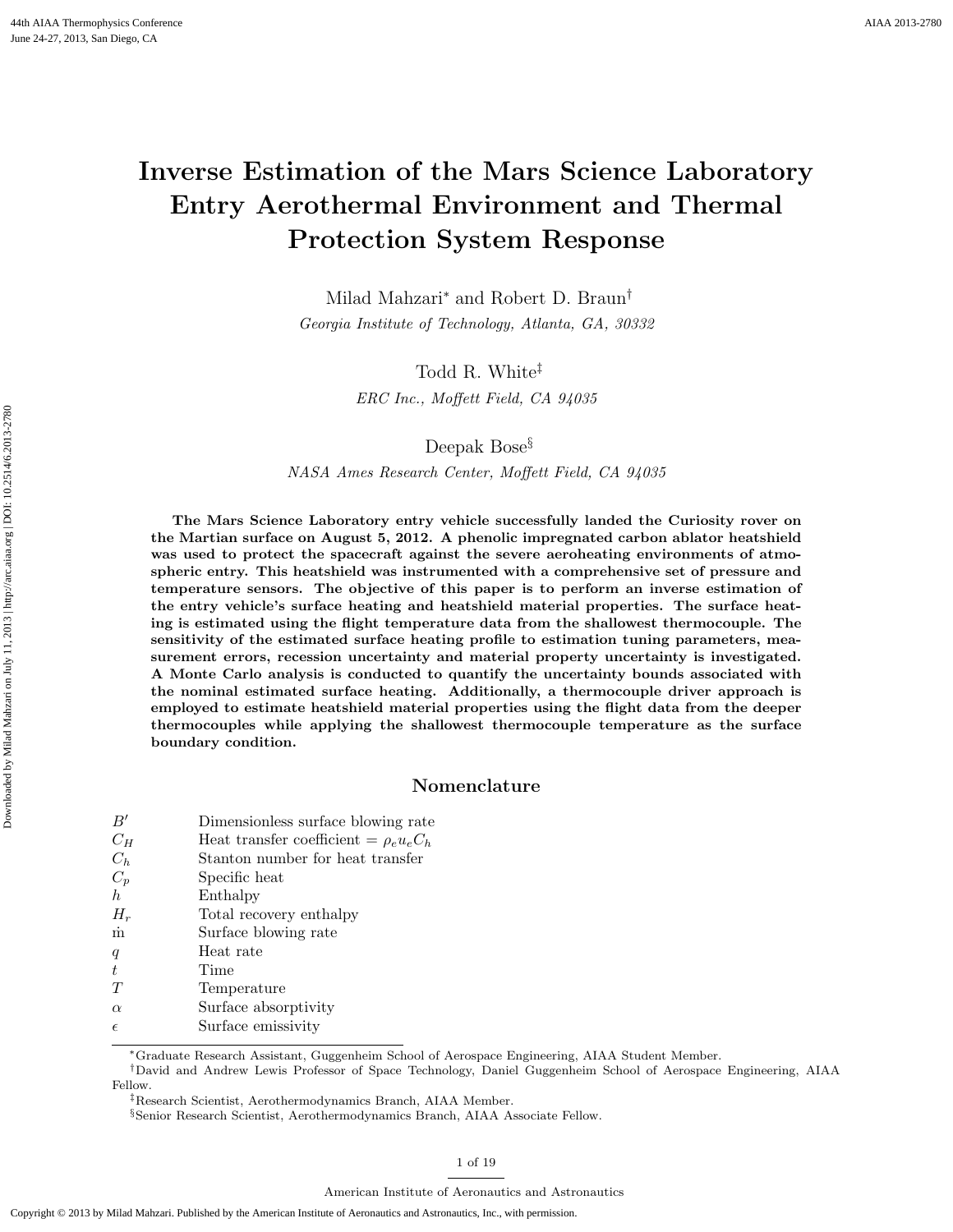# Inverse Estimation of the Mars Science Laboratory Entry Aerothermal Environment and Thermal Protection System Response

Milad Mahzari<sup>∗</sup> and Robert D. Braun† Georgia Institute of Technology, Atlanta, GA, 30332

> Todd R. White‡ ERC Inc., Moffett Field, CA 94035

> > Deepak Bose§

NASA Ames Research Center, Moffett Field, CA 94035

The Mars Science Laboratory entry vehicle successfully landed the Curiosity rover on the Martian surface on August 5, 2012. A phenolic impregnated carbon ablator heatshield was used to protect the spacecraft against the severe aeroheating environments of atmospheric entry. This heatshield was instrumented with a comprehensive set of pressure and temperature sensors. The objective of this paper is to perform an inverse estimation of the entry vehicle's surface heating and heatshield material properties. The surface heating is estimated using the flight temperature data from the shallowest thermocouple. The sensitivity of the estimated surface heating profile to estimation tuning parameters, measurement errors, recession uncertainty and material property uncertainty is investigated. A Monte Carlo analysis is conducted to quantify the uncertainty bounds associated with the nominal estimated surface heating. Additionally, a thermocouple driver approach is employed to estimate heatshield material properties using the flight data from the deeper thermocouples while applying the shallowest thermocouple temperature as the surface boundary condition.

# Nomenclature

| B'         | Dimensionless surface blowing rate           |
|------------|----------------------------------------------|
| $C_H$      | Heat transfer coefficient = $\rho_e u_e C_h$ |
| $C_h$      | Stanton number for heat transfer             |
| $C_p$      | Specific heat                                |
| h          | Enthalpy                                     |
| $H_r$      | Total recovery enthalpy                      |
| $\dot{m}$  | Surface blowing rate                         |
| q          | Heat rate                                    |
| t          | Time                                         |
| T          | Temperature                                  |
| $\alpha$   | Surface absorptivity                         |
| $\epsilon$ | Surface emissivity                           |
|            |                                              |

<sup>∗</sup>Graduate Research Assistant, Guggenheim School of Aerospace Engineering, AIAA Student Member.

†David and Andrew Lewis Professor of Space Technology, Daniel Guggenheim School of Aerospace Engineering, AIAA Fellow.

‡Research Scientist, Aerothermodynamics Branch, AIAA Member.

<sup>§</sup>Senior Research Scientist, Aerothermodynamics Branch, AIAA Associate Fellow.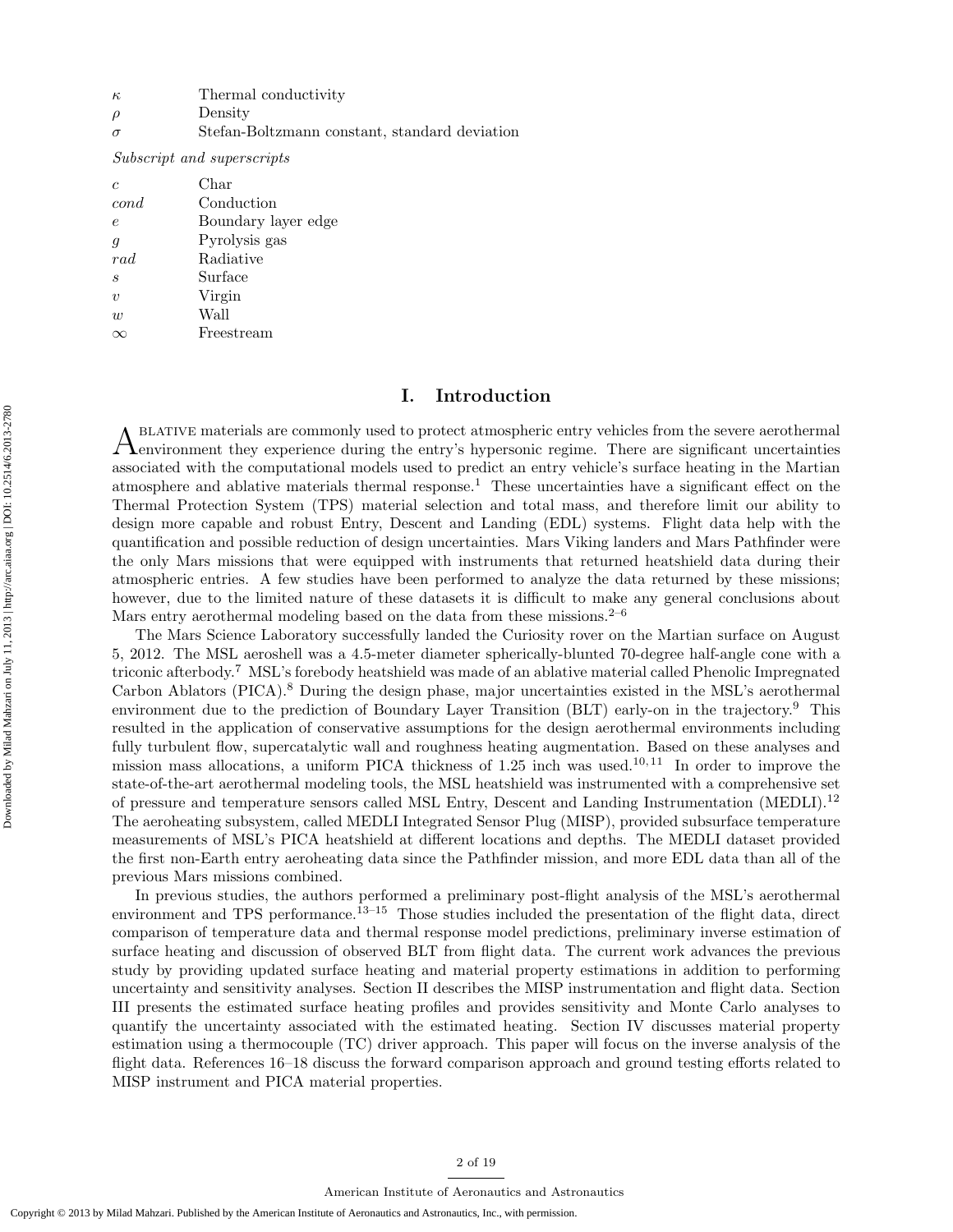| к | Thermal conductivity |
|---|----------------------|
|   |                      |

- $\rho$  Density
- $\sigma$  Stefan-Boltzmann constant, standard deviation

Subscript and superscripts

| $\epsilon$       | Char                |
|------------------|---------------------|
| cond             | Conduction          |
| $\epsilon$       | Boundary layer edge |
| $\boldsymbol{q}$ | Pyrolysis gas       |
| rad              | Radiative           |
| $\boldsymbol{s}$ | Surface             |
| $\eta$           | Virgin              |
| $\overline{w}$   | Wall                |
|                  | Freestream          |

# I. Introduction

A BLATIVE materials are commonly used to protect atmospheric entry vehicles from the severe aerothermal environment they experience during the entry's hypersonic regime. There are significant uncertainties blative materials are commonly used to protect atmospheric entry vehicles from the severe aerothermal associated with the computational models used to predict an entry vehicle's surface heating in the Martian atmosphere and ablative materials thermal response.<sup>1</sup> These uncertainties have a significant effect on the Thermal Protection System (TPS) material selection and total mass, and therefore limit our ability to design more capable and robust Entry, Descent and Landing (EDL) systems. Flight data help with the quantification and possible reduction of design uncertainties. Mars Viking landers and Mars Pathfinder were the only Mars missions that were equipped with instruments that returned heatshield data during their atmospheric entries. A few studies have been performed to analyze the data returned by these missions; however, due to the limited nature of these datasets it is difficult to make any general conclusions about Mars entry aerothermal modeling based on the data from these missions. $2^{-6}$ 

The Mars Science Laboratory successfully landed the Curiosity rover on the Martian surface on August 5, 2012. The MSL aeroshell was a 4.5-meter diameter spherically-blunted 70-degree half-angle cone with a triconic afterbody.<sup>7</sup> MSL's forebody heatshield was made of an ablative material called Phenolic Impregnated Carbon Ablators (PICA).<sup>8</sup> During the design phase, major uncertainties existed in the MSL's aerothermal environment due to the prediction of Boundary Layer Transition (BLT) early-on in the trajectory.<sup>9</sup> This resulted in the application of conservative assumptions for the design aerothermal environments including fully turbulent flow, supercatalytic wall and roughness heating augmentation. Based on these analyses and mission mass allocations, a uniform PICA thickness of  $1.25$  inch was used.<sup>10, 11</sup> In order to improve the state-of-the-art aerothermal modeling tools, the MSL heatshield was instrumented with a comprehensive set of pressure and temperature sensors called MSL Entry, Descent and Landing Instrumentation (MEDLI).<sup>12</sup> The aeroheating subsystem, called MEDLI Integrated Sensor Plug (MISP), provided subsurface temperature measurements of MSL's PICA heatshield at different locations and depths. The MEDLI dataset provided the first non-Earth entry aeroheating data since the Pathfinder mission, and more EDL data than all of the previous Mars missions combined.

In previous studies, the authors performed a preliminary post-flight analysis of the MSL's aerothermal environment and TPS performance.<sup>13–15</sup> Those studies included the presentation of the flight data, direct comparison of temperature data and thermal response model predictions, preliminary inverse estimation of surface heating and discussion of observed BLT from flight data. The current work advances the previous study by providing updated surface heating and material property estimations in addition to performing uncertainty and sensitivity analyses. Section II describes the MISP instrumentation and flight data. Section III presents the estimated surface heating profiles and provides sensitivity and Monte Carlo analyses to quantify the uncertainty associated with the estimated heating. Section IV discusses material property estimation using a thermocouple (TC) driver approach. This paper will focus on the inverse analysis of the flight data. References 16–18 discuss the forward comparison approach and ground testing efforts related to MISP instrument and PICA material properties.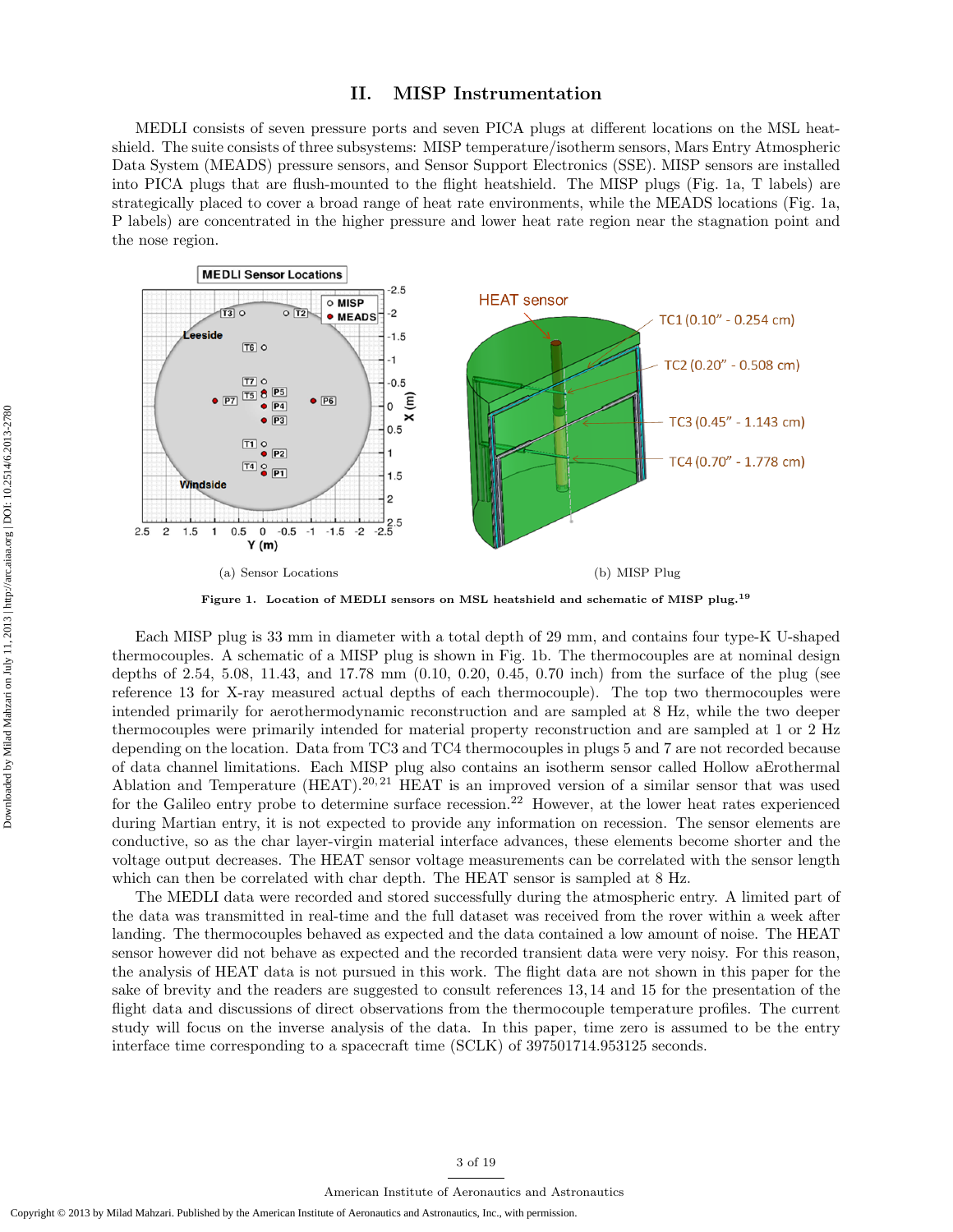## II. MISP Instrumentation

MEDLI consists of seven pressure ports and seven PICA plugs at different locations on the MSL heatshield. The suite consists of three subsystems: MISP temperature/isotherm sensors, Mars Entry Atmospheric Data System (MEADS) pressure sensors, and Sensor Support Electronics (SSE). MISP sensors are installed into PICA plugs that are flush-mounted to the flight heatshield. The MISP plugs (Fig. 1a, T labels) are strategically placed to cover a broad range of heat rate environments, while the MEADS locations (Fig. 1a, P labels) are concentrated in the higher pressure and lower heat rate region near the stagnation point and the nose region.



Figure 1. Location of MEDLI sensors on MSL heatshield and schematic of MISP plug.<sup>19</sup>

Each MISP plug is 33 mm in diameter with a total depth of 29 mm, and contains four type-K U-shaped thermocouples. A schematic of a MISP plug is shown in Fig. 1b. The thermocouples are at nominal design depths of 2.54, 5.08, 11.43, and 17.78 mm (0.10, 0.20, 0.45, 0.70 inch) from the surface of the plug (see reference 13 for X-ray measured actual depths of each thermocouple). The top two thermocouples were intended primarily for aerothermodynamic reconstruction and are sampled at 8 Hz, while the two deeper thermocouples were primarily intended for material property reconstruction and are sampled at 1 or 2 Hz depending on the location. Data from TC3 and TC4 thermocouples in plugs 5 and 7 are not recorded because of data channel limitations. Each MISP plug also contains an isotherm sensor called Hollow aErothermal Ablation and Temperature  $(HEAT)$ .<sup>20, 21</sup> HEAT is an improved version of a similar sensor that was used for the Galileo entry probe to determine surface recession.<sup>22</sup> However, at the lower heat rates experienced during Martian entry, it is not expected to provide any information on recession. The sensor elements are conductive, so as the char layer-virgin material interface advances, these elements become shorter and the voltage output decreases. The HEAT sensor voltage measurements can be correlated with the sensor length which can then be correlated with char depth. The HEAT sensor is sampled at  $8$  Hz.

The MEDLI data were recorded and stored successfully during the atmospheric entry. A limited part of the data was transmitted in real-time and the full dataset was received from the rover within a week after landing. The thermocouples behaved as expected and the data contained a low amount of noise. The HEAT sensor however did not behave as expected and the recorded transient data were very noisy. For this reason, the analysis of HEAT data is not pursued in this work. The flight data are not shown in this paper for the sake of brevity and the readers are suggested to consult references 13, 14 and 15 for the presentation of the flight data and discussions of direct observations from the thermocouple temperature profiles. The current study will focus on the inverse analysis of the data. In this paper, time zero is assumed to be the entry interface time corresponding to a spacecraft time (SCLK) of 397501714.953125 seconds.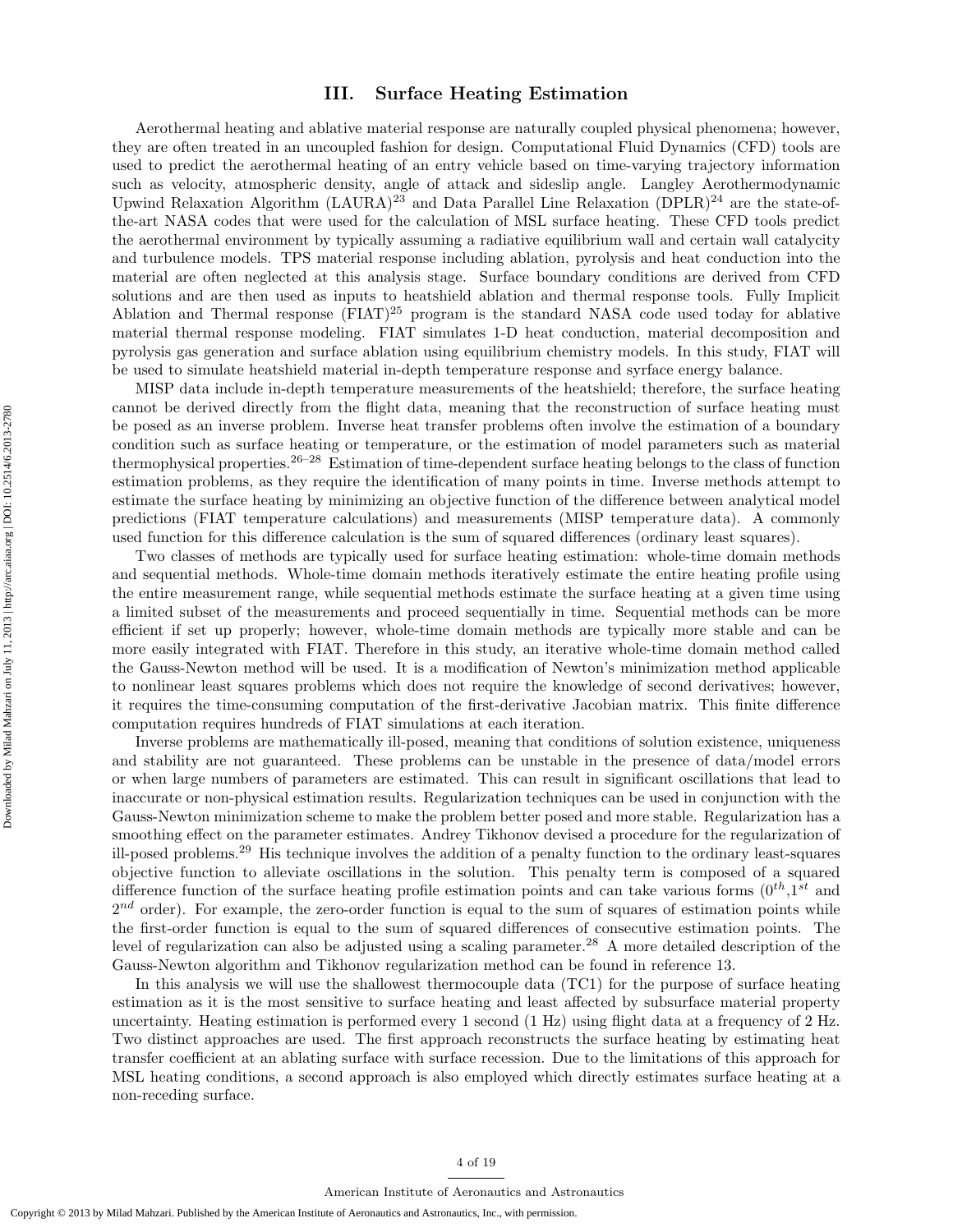# III. Surface Heating Estimation

Aerothermal heating and ablative material response are naturally coupled physical phenomena; however, they are often treated in an uncoupled fashion for design. Computational Fluid Dynamics (CFD) tools are used to predict the aerothermal heating of an entry vehicle based on time-varying trajectory information such as velocity, atmospheric density, angle of attack and sideslip angle. Langley Aerothermodynamic Upwind Relaxation Algorithm  $(LAURA)^{23}$  and Data Parallel Line Relaxation  $(DPLR)^{24}$  are the state-ofthe-art NASA codes that were used for the calculation of MSL surface heating. These CFD tools predict the aerothermal environment by typically assuming a radiative equilibrium wall and certain wall catalycity and turbulence models. TPS material response including ablation, pyrolysis and heat conduction into the material are often neglected at this analysis stage. Surface boundary conditions are derived from CFD solutions and are then used as inputs to heatshield ablation and thermal response tools. Fully Implicit Ablation and Thermal response  $(FIAT)^{25}$  program is the standard NASA code used today for ablative material thermal response modeling. FIAT simulates 1-D heat conduction, material decomposition and pyrolysis gas generation and surface ablation using equilibrium chemistry models. In this study, FIAT will be used to simulate heatshield material in-depth temperature response and syrface energy balance.

MISP data include in-depth temperature measurements of the heatshield; therefore, the surface heating cannot be derived directly from the flight data, meaning that the reconstruction of surface heating must be posed as an inverse problem. Inverse heat transfer problems often involve the estimation of a boundary condition such as surface heating or temperature, or the estimation of model parameters such as material thermophysical properties.<sup>26–28</sup> Estimation of time-dependent surface heating belongs to the class of function estimation problems, as they require the identification of many points in time. Inverse methods attempt to estimate the surface heating by minimizing an objective function of the difference between analytical model predictions (FIAT temperature calculations) and measurements (MISP temperature data). A commonly used function for this difference calculation is the sum of squared differences (ordinary least squares).

Two classes of methods are typically used for surface heating estimation: whole-time domain methods and sequential methods. Whole-time domain methods iteratively estimate the entire heating profile using the entire measurement range, while sequential methods estimate the surface heating at a given time using a limited subset of the measurements and proceed sequentially in time. Sequential methods can be more efficient if set up properly; however, whole-time domain methods are typically more stable and can be more easily integrated with FIAT. Therefore in this study, an iterative whole-time domain method called the Gauss-Newton method will be used. It is a modification of Newton's minimization method applicable to nonlinear least squares problems which does not require the knowledge of second derivatives; however, it requires the time-consuming computation of the first-derivative Jacobian matrix. This finite difference computation requires hundreds of FIAT simulations at each iteration.

Inverse problems are mathematically ill-posed, meaning that conditions of solution existence, uniqueness and stability are not guaranteed. These problems can be unstable in the presence of data/model errors or when large numbers of parameters are estimated. This can result in significant oscillations that lead to inaccurate or non-physical estimation results. Regularization techniques can be used in conjunction with the Gauss-Newton minimization scheme to make the problem better posed and more stable. Regularization has a smoothing effect on the parameter estimates. Andrey Tikhonov devised a procedure for the regularization of ill-posed problems.<sup>29</sup> His technique involves the addition of a penalty function to the ordinary least-squares objective function to alleviate oscillations in the solution. This penalty term is composed of a squared difference function of the surface heating profile estimation points and can take various forms  $(0^{th}, 1^{st}$  and  $2^{nd}$  order). For example, the zero-order function is equal to the sum of squares of estimation points while the first-order function is equal to the sum of squared differences of consecutive estimation points. The level of regularization can also be adjusted using a scaling parameter.<sup>28</sup> A more detailed description of the Gauss-Newton algorithm and Tikhonov regularization method can be found in reference 13.

In this analysis we will use the shallowest thermocouple data (TC1) for the purpose of surface heating estimation as it is the most sensitive to surface heating and least affected by subsurface material property uncertainty. Heating estimation is performed every 1 second (1 Hz) using flight data at a frequency of 2 Hz. Two distinct approaches are used. The first approach reconstructs the surface heating by estimating heat transfer coefficient at an ablating surface with surface recession. Due to the limitations of this approach for MSL heating conditions, a second approach is also employed which directly estimates surface heating at a non-receding surface.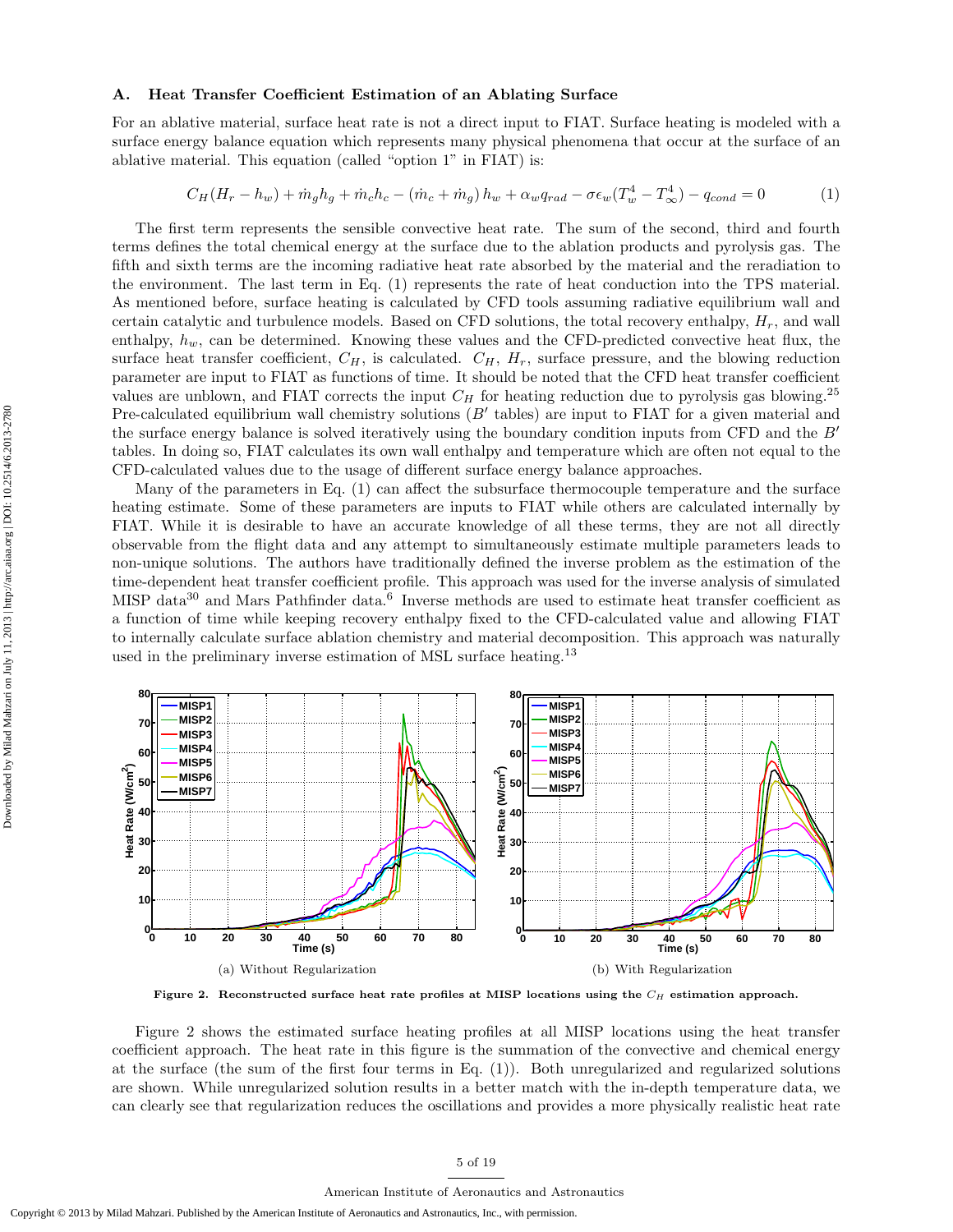#### A. Heat Transfer Coefficient Estimation of an Ablating Surface

For an ablative material, surface heat rate is not a direct input to FIAT. Surface heating is modeled with a surface energy balance equation which represents many physical phenomena that occur at the surface of an ablative material. This equation (called "option 1" in FIAT) is:

$$
C_H(H_r - h_w) + \dot{m}_g h_g + \dot{m}_c h_c - (\dot{m}_c + \dot{m}_g) h_w + \alpha_w q_{rad} - \sigma \epsilon_w (T_w^4 - T_\infty^4) - q_{cond} = 0 \tag{1}
$$

The first term represents the sensible convective heat rate. The sum of the second, third and fourth terms defines the total chemical energy at the surface due to the ablation products and pyrolysis gas. The fifth and sixth terms are the incoming radiative heat rate absorbed by the material and the reradiation to the environment. The last term in Eq. (1) represents the rate of heat conduction into the TPS material. As mentioned before, surface heating is calculated by CFD tools assuming radiative equilibrium wall and certain catalytic and turbulence models. Based on CFD solutions, the total recovery enthalpy,  $H_r$ , and wall enthalpy,  $h_w$ , can be determined. Knowing these values and the CFD-predicted convective heat flux, the surface heat transfer coefficient,  $C_H$ , is calculated.  $C_H$ ,  $H_r$ , surface pressure, and the blowing reduction parameter are input to FIAT as functions of time. It should be noted that the CFD heat transfer coefficient values are unblown, and FIAT corrects the input  $C_H$  for heating reduction due to pyrolysis gas blowing.<sup>25</sup> Pre-calculated equilibrium wall chemistry solutions  $(B'$  tables) are input to FIAT for a given material and the surface energy balance is solved iteratively using the boundary condition inputs from CFD and the  $B'$ tables. In doing so, FIAT calculates its own wall enthalpy and temperature which are often not equal to the CFD-calculated values due to the usage of different surface energy balance approaches.

Many of the parameters in Eq. (1) can affect the subsurface thermocouple temperature and the surface heating estimate. Some of these parameters are inputs to FIAT while others are calculated internally by FIAT. While it is desirable to have an accurate knowledge of all these terms, they are not all directly observable from the flight data and any attempt to simultaneously estimate multiple parameters leads to non-unique solutions. The authors have traditionally defined the inverse problem as the estimation of the time-dependent heat transfer coefficient profile. This approach was used for the inverse analysis of simulated MISP data<sup>30</sup> and Mars Pathfinder data.<sup>6</sup> Inverse methods are used to estimate heat transfer coefficient as a function of time while keeping recovery enthalpy fixed to the CFD-calculated value and allowing FIAT to internally calculate surface ablation chemistry and material decomposition. This approach was naturally used in the preliminary inverse estimation of MSL surface heating.<sup>13</sup>



Figure 2. Reconstructed surface heat rate profiles at MISP locations using the  $C_H$  estimation approach.

Figure 2 shows the estimated surface heating profiles at all MISP locations using the heat transfer coefficient approach. The heat rate in this figure is the summation of the convective and chemical energy at the surface (the sum of the first four terms in Eq. (1)). Both unregularized and regularized solutions are shown. While unregularized solution results in a better match with the in-depth temperature data, we can clearly see that regularization reduces the oscillations and provides a more physically realistic heat rate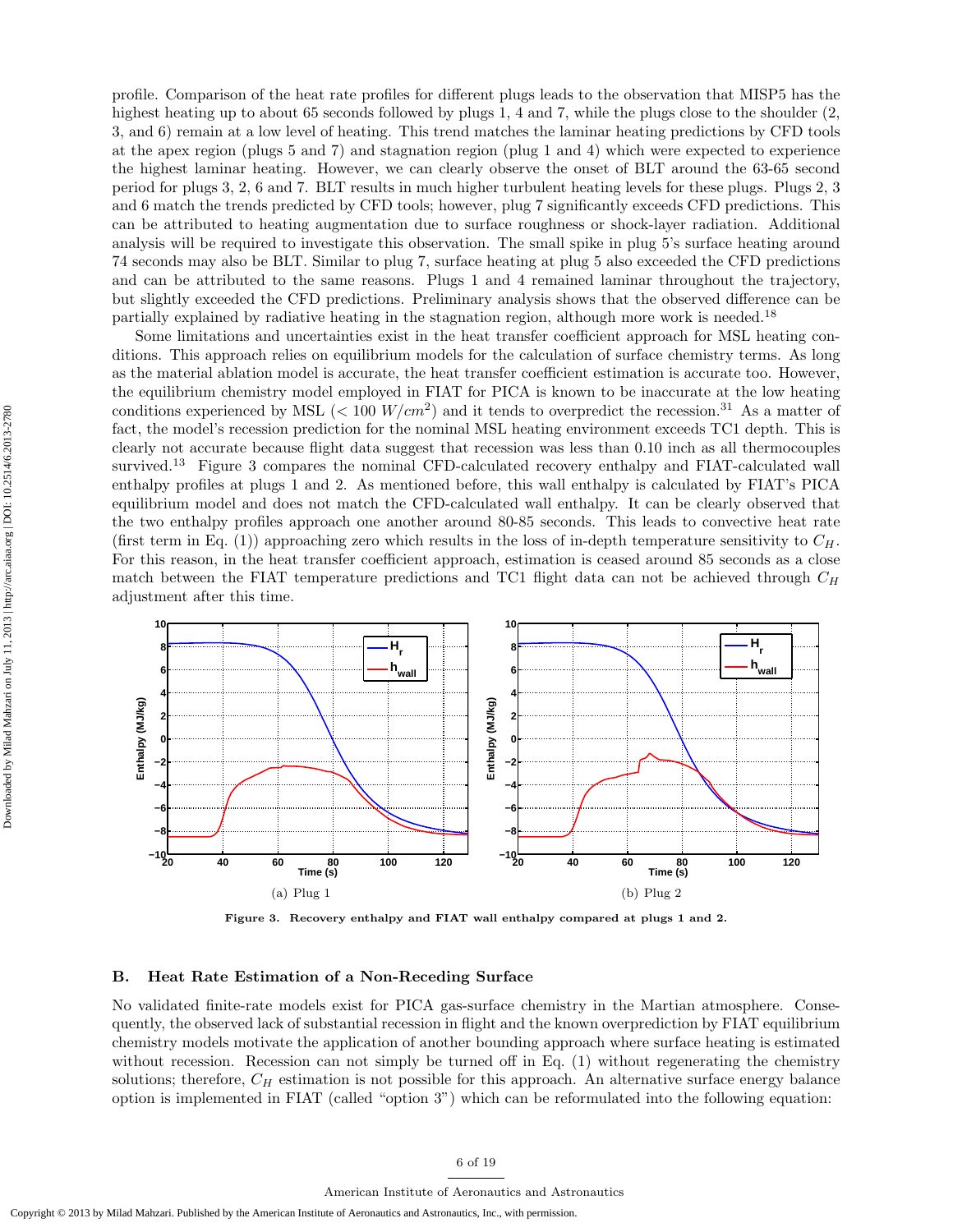profile. Comparison of the heat rate profiles for different plugs leads to the observation that MISP5 has the highest heating up to about 65 seconds followed by plugs 1, 4 and 7, while the plugs close to the shoulder (2, 3, and 6) remain at a low level of heating. This trend matches the laminar heating predictions by CFD tools at the apex region (plugs 5 and 7) and stagnation region (plug 1 and 4) which were expected to experience the highest laminar heating. However, we can clearly observe the onset of BLT around the 63-65 second period for plugs 3, 2, 6 and 7. BLT results in much higher turbulent heating levels for these plugs. Plugs 2, 3 and 6 match the trends predicted by CFD tools; however, plug 7 significantly exceeds CFD predictions. This can be attributed to heating augmentation due to surface roughness or shock-layer radiation. Additional analysis will be required to investigate this observation. The small spike in plug 5's surface heating around 74 seconds may also be BLT. Similar to plug 7, surface heating at plug 5 also exceeded the CFD predictions and can be attributed to the same reasons. Plugs 1 and 4 remained laminar throughout the trajectory, but slightly exceeded the CFD predictions. Preliminary analysis shows that the observed difference can be partially explained by radiative heating in the stagnation region, although more work is needed.<sup>18</sup>

Some limitations and uncertainties exist in the heat transfer coefficient approach for MSL heating conditions. This approach relies on equilibrium models for the calculation of surface chemistry terms. As long as the material ablation model is accurate, the heat transfer coefficient estimation is accurate too. However, the equilibrium chemistry model employed in FIAT for PICA is known to be inaccurate at the low heating conditions experienced by MSL ( $< 100$   $W/cm<sup>2</sup>$ ) and it tends to overpredict the recession.<sup>31</sup> As a matter of fact, the model's recession prediction for the nominal MSL heating environment exceeds TC1 depth. This is clearly not accurate because flight data suggest that recession was less than 0.10 inch as all thermocouples survived.<sup>13</sup> Figure 3 compares the nominal CFD-calculated recovery enthalpy and FIAT-calculated wall enthalpy profiles at plugs 1 and 2. As mentioned before, this wall enthalpy is calculated by FIAT's PICA equilibrium model and does not match the CFD-calculated wall enthalpy. It can be clearly observed that the two enthalpy profiles approach one another around 80-85 seconds. This leads to convective heat rate (first term in Eq. (1)) approaching zero which results in the loss of in-depth temperature sensitivity to  $C_H$ . For this reason, in the heat transfer coefficient approach, estimation is ceased around 85 seconds as a close match between the FIAT temperature predictions and TC1 flight data can not be achieved through  $C_H$ adjustment after this time.



Figure 3. Recovery enthalpy and FIAT wall enthalpy compared at plugs 1 and 2.

### B. Heat Rate Estimation of a Non-Receding Surface

No validated finite-rate models exist for PICA gas-surface chemistry in the Martian atmosphere. Consequently, the observed lack of substantial recession in flight and the known overprediction by FIAT equilibrium chemistry models motivate the application of another bounding approach where surface heating is estimated without recession. Recession can not simply be turned off in Eq. (1) without regenerating the chemistry solutions; therefore,  $C_H$  estimation is not possible for this approach. An alternative surface energy balance option is implemented in FIAT (called "option 3") which can be reformulated into the following equation: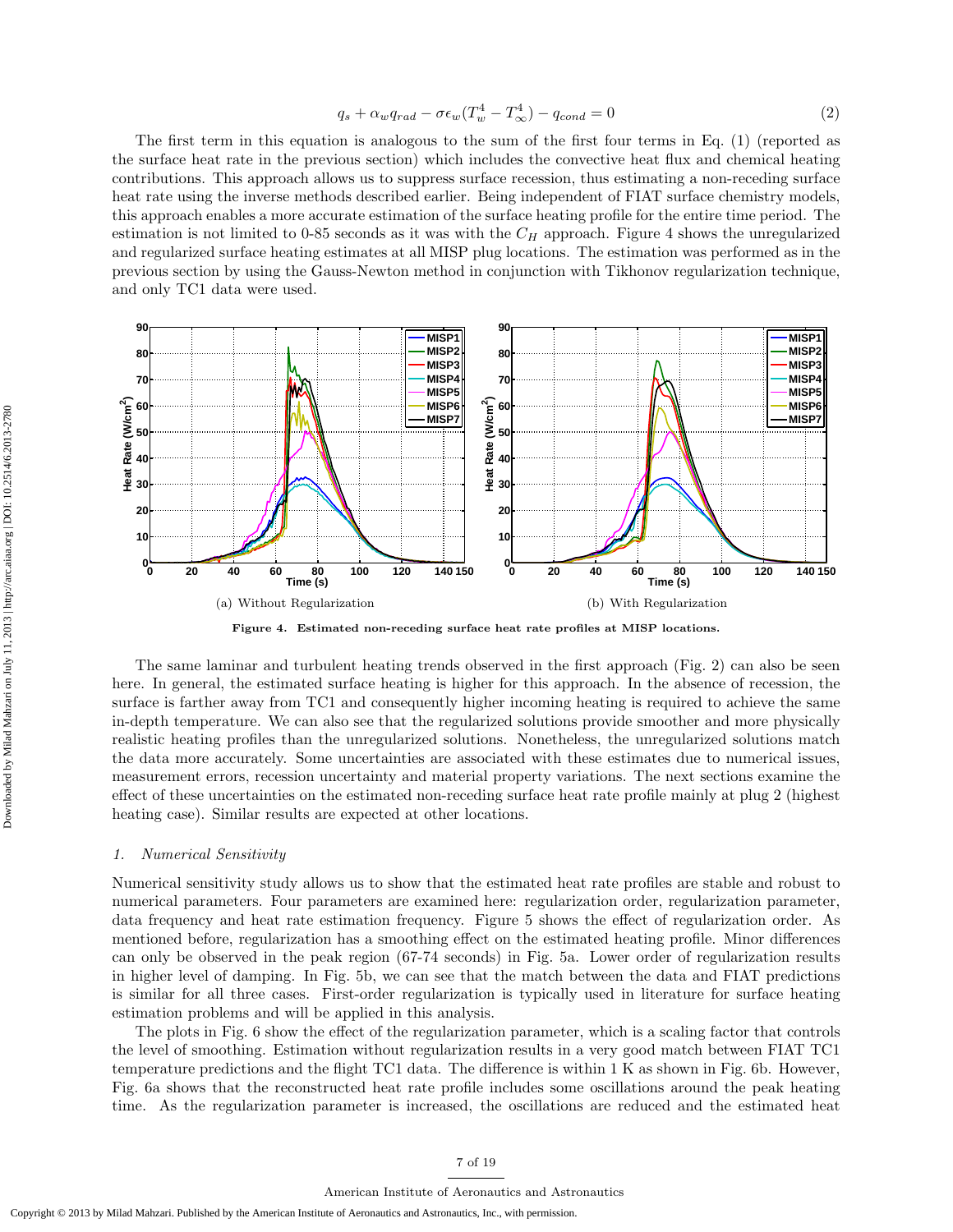$$
q_s + \alpha_w q_{rad} - \sigma \epsilon_w (T_w^4 - T_\infty^4) - q_{cond} = 0 \tag{2}
$$

The first term in this equation is analogous to the sum of the first four terms in Eq. (1) (reported as the surface heat rate in the previous section) which includes the convective heat flux and chemical heating contributions. This approach allows us to suppress surface recession, thus estimating a non-receding surface heat rate using the inverse methods described earlier. Being independent of FIAT surface chemistry models, this approach enables a more accurate estimation of the surface heating profile for the entire time period. The estimation is not limited to 0-85 seconds as it was with the  $C_H$  approach. Figure 4 shows the unregularized and regularized surface heating estimates at all MISP plug locations. The estimation was performed as in the previous section by using the Gauss-Newton method in conjunction with Tikhonov regularization technique, and only TC1 data were used.



Figure 4. Estimated non-receding surface heat rate profiles at MISP locations.

The same laminar and turbulent heating trends observed in the first approach (Fig. 2) can also be seen here. In general, the estimated surface heating is higher for this approach. In the absence of recession, the surface is farther away from TC1 and consequently higher incoming heating is required to achieve the same in-depth temperature. We can also see that the regularized solutions provide smoother and more physically realistic heating profiles than the unregularized solutions. Nonetheless, the unregularized solutions match the data more accurately. Some uncertainties are associated with these estimates due to numerical issues, measurement errors, recession uncertainty and material property variations. The next sections examine the effect of these uncertainties on the estimated non-receding surface heat rate profile mainly at plug 2 (highest heating case). Similar results are expected at other locations.

## 1. Numerical Sensitivity

Numerical sensitivity study allows us to show that the estimated heat rate profiles are stable and robust to numerical parameters. Four parameters are examined here: regularization order, regularization parameter, data frequency and heat rate estimation frequency. Figure 5 shows the effect of regularization order. As mentioned before, regularization has a smoothing effect on the estimated heating profile. Minor differences can only be observed in the peak region (67-74 seconds) in Fig. 5a. Lower order of regularization results in higher level of damping. In Fig. 5b, we can see that the match between the data and FIAT predictions is similar for all three cases. First-order regularization is typically used in literature for surface heating estimation problems and will be applied in this analysis.

The plots in Fig. 6 show the effect of the regularization parameter, which is a scaling factor that controls the level of smoothing. Estimation without regularization results in a very good match between FIAT TC1 temperature predictions and the flight TC1 data. The difference is within 1 K as shown in Fig. 6b. However, Fig. 6a shows that the reconstructed heat rate profile includes some oscillations around the peak heating time. As the regularization parameter is increased, the oscillations are reduced and the estimated heat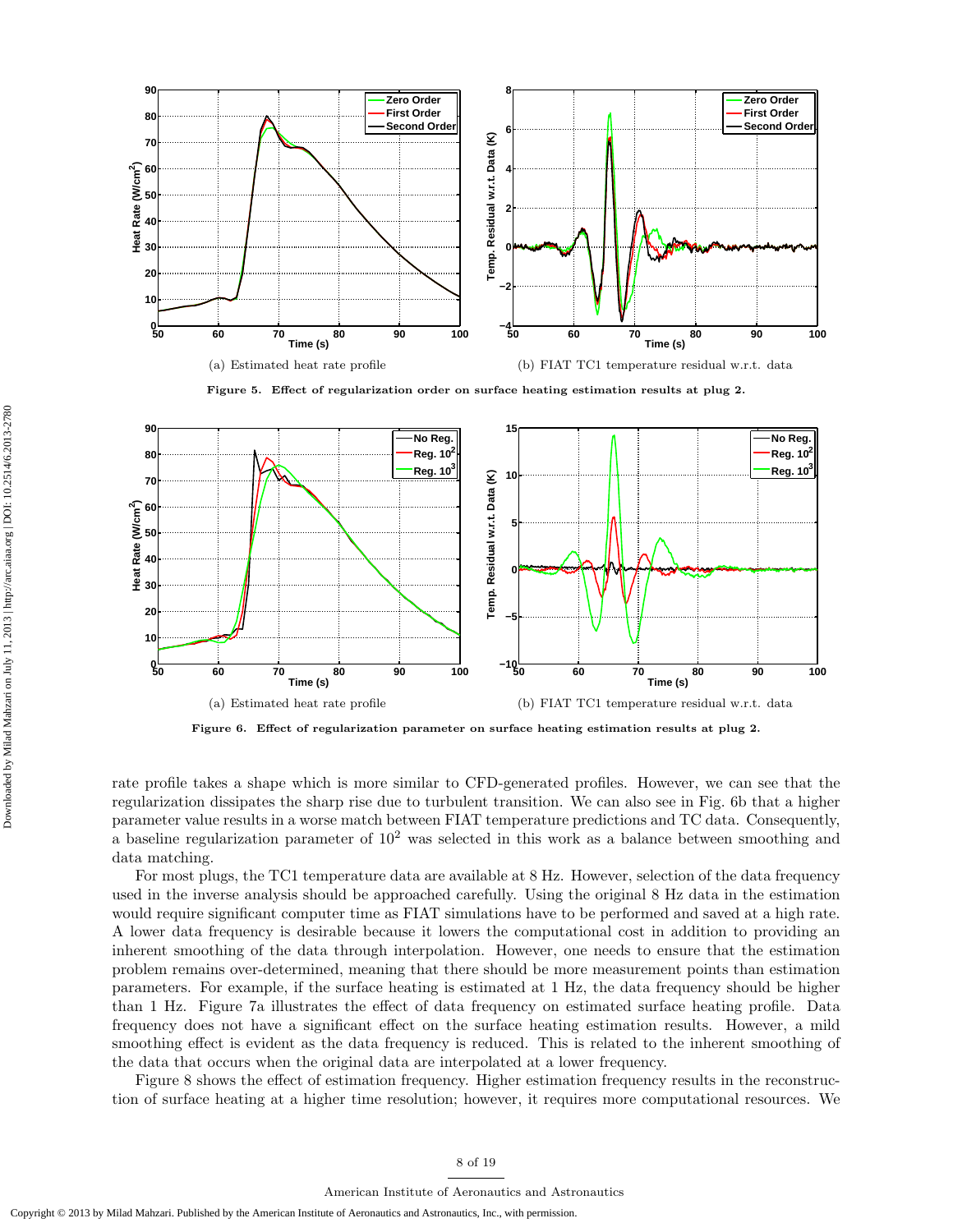

Figure 5. Effect of regularization order on surface heating estimation results at plug 2.



Figure 6. Effect of regularization parameter on surface heating estimation results at plug 2.

rate profile takes a shape which is more similar to CFD-generated profiles. However, we can see that the regularization dissipates the sharp rise due to turbulent transition. We can also see in Fig. 6b that a higher parameter value results in a worse match between FIAT temperature predictions and TC data. Consequently, a baseline regularization parameter of  $10^2$  was selected in this work as a balance between smoothing and data matching.

For most plugs, the TC1 temperature data are available at 8 Hz. However, selection of the data frequency used in the inverse analysis should be approached carefully. Using the original 8 Hz data in the estimation would require significant computer time as FIAT simulations have to be performed and saved at a high rate. A lower data frequency is desirable because it lowers the computational cost in addition to providing an inherent smoothing of the data through interpolation. However, one needs to ensure that the estimation problem remains over-determined, meaning that there should be more measurement points than estimation parameters. For example, if the surface heating is estimated at 1 Hz, the data frequency should be higher than 1 Hz. Figure 7a illustrates the effect of data frequency on estimated surface heating profile. Data frequency does not have a significant effect on the surface heating estimation results. However, a mild smoothing effect is evident as the data frequency is reduced. This is related to the inherent smoothing of the data that occurs when the original data are interpolated at a lower frequency.

Figure 8 shows the effect of estimation frequency. Higher estimation frequency results in the reconstruction of surface heating at a higher time resolution; however, it requires more computational resources. We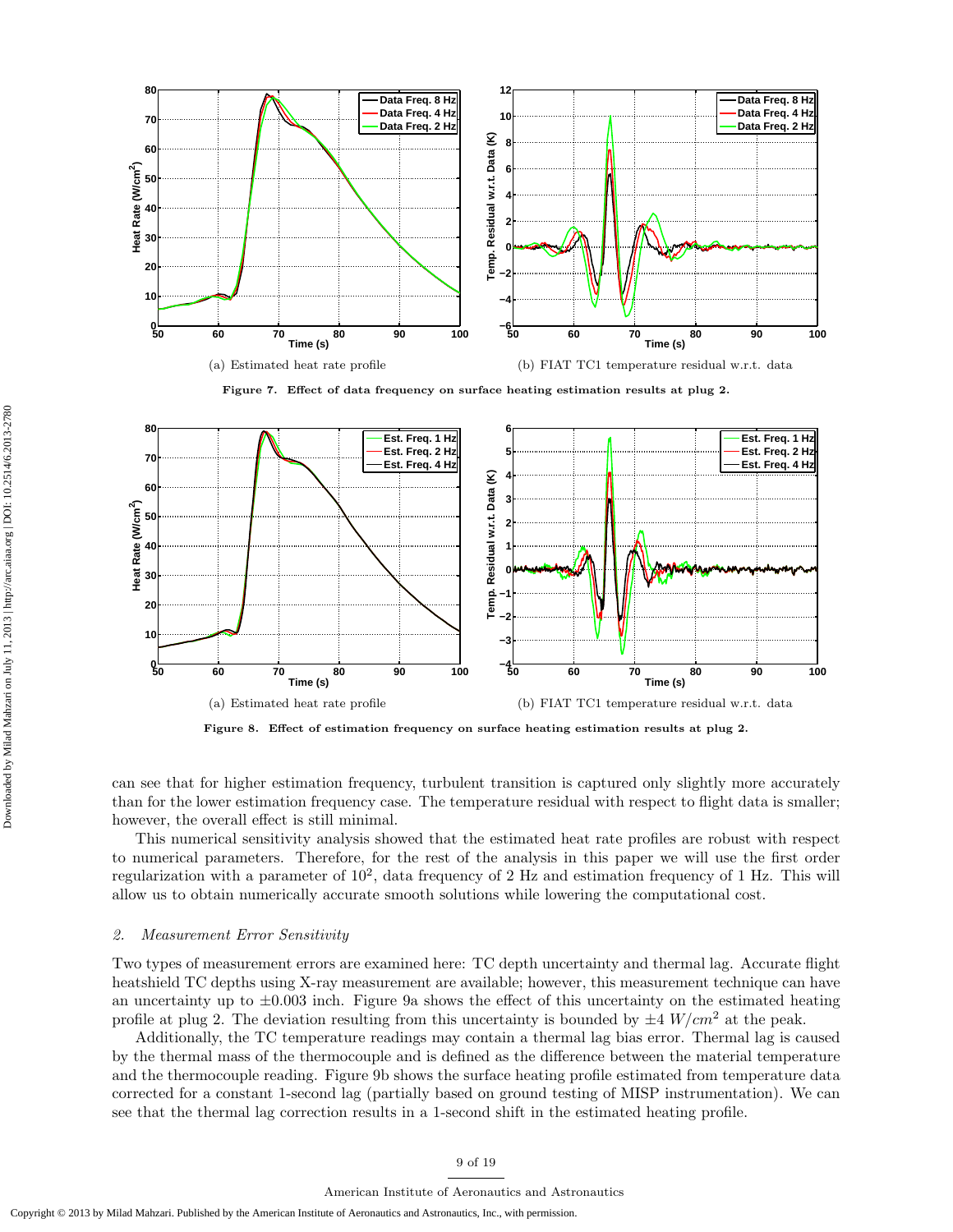

Figure 7. Effect of data frequency on surface heating estimation results at plug 2.



Figure 8. Effect of estimation frequency on surface heating estimation results at plug 2.

can see that for higher estimation frequency, turbulent transition is captured only slightly more accurately than for the lower estimation frequency case. The temperature residual with respect to flight data is smaller; however, the overall effect is still minimal.

This numerical sensitivity analysis showed that the estimated heat rate profiles are robust with respect to numerical parameters. Therefore, for the rest of the analysis in this paper we will use the first order regularization with a parameter of  $10^2$ , data frequency of 2 Hz and estimation frequency of 1 Hz. This will allow us to obtain numerically accurate smooth solutions while lowering the computational cost.

#### 2. Measurement Error Sensitivity

Two types of measurement errors are examined here: TC depth uncertainty and thermal lag. Accurate flight heatshield TC depths using X-ray measurement are available; however, this measurement technique can have an uncertainty up to  $\pm 0.003$  inch. Figure 9a shows the effect of this uncertainty on the estimated heating profile at plug 2. The deviation resulting from this uncertainty is bounded by  $\pm 4$  W/cm<sup>2</sup> at the peak.

Additionally, the TC temperature readings may contain a thermal lag bias error. Thermal lag is caused by the thermal mass of the thermocouple and is defined as the difference between the material temperature and the thermocouple reading. Figure 9b shows the surface heating profile estimated from temperature data corrected for a constant 1-second lag (partially based on ground testing of MISP instrumentation). We can see that the thermal lag correction results in a 1-second shift in the estimated heating profile.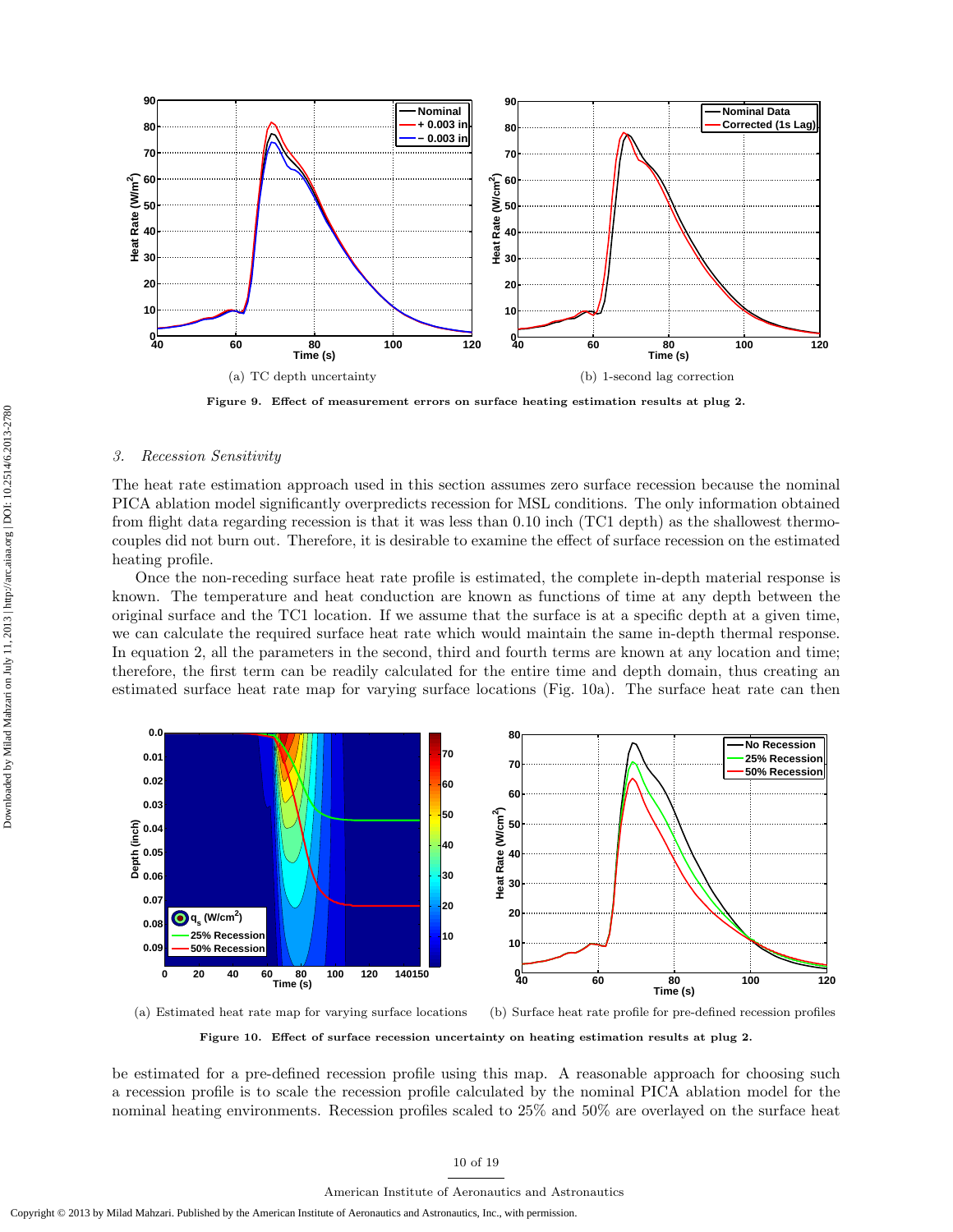

Figure 9. Effect of measurement errors on surface heating estimation results at plug 2.

#### 3. Recession Sensitivity

The heat rate estimation approach used in this section assumes zero surface recession because the nominal PICA ablation model significantly overpredicts recession for MSL conditions. The only information obtained from flight data regarding recession is that it was less than 0.10 inch (TC1 depth) as the shallowest thermocouples did not burn out. Therefore, it is desirable to examine the effect of surface recession on the estimated heating profile.

Once the non-receding surface heat rate profile is estimated, the complete in-depth material response is known. The temperature and heat conduction are known as functions of time at any depth between the original surface and the TC1 location. If we assume that the surface is at a specific depth at a given time, we can calculate the required surface heat rate which would maintain the same in-depth thermal response. In equation 2, all the parameters in the second, third and fourth terms are known at any location and time; therefore, the first term can be readily calculated for the entire time and depth domain, thus creating an estimated surface heat rate map for varying surface locations (Fig. 10a). The surface heat rate can then



(a) Estimated heat rate map for varying surface locations (b) Surface heat rate profile for pre-defined recession profiles

Figure 10. Effect of surface recession uncertainty on heating estimation results at plug 2.

be estimated for a pre-defined recession profile using this map. A reasonable approach for choosing such a recession profile is to scale the recession profile calculated by the nominal PICA ablation model for the nominal heating environments. Recession profiles scaled to 25% and 50% are overlayed on the surface heat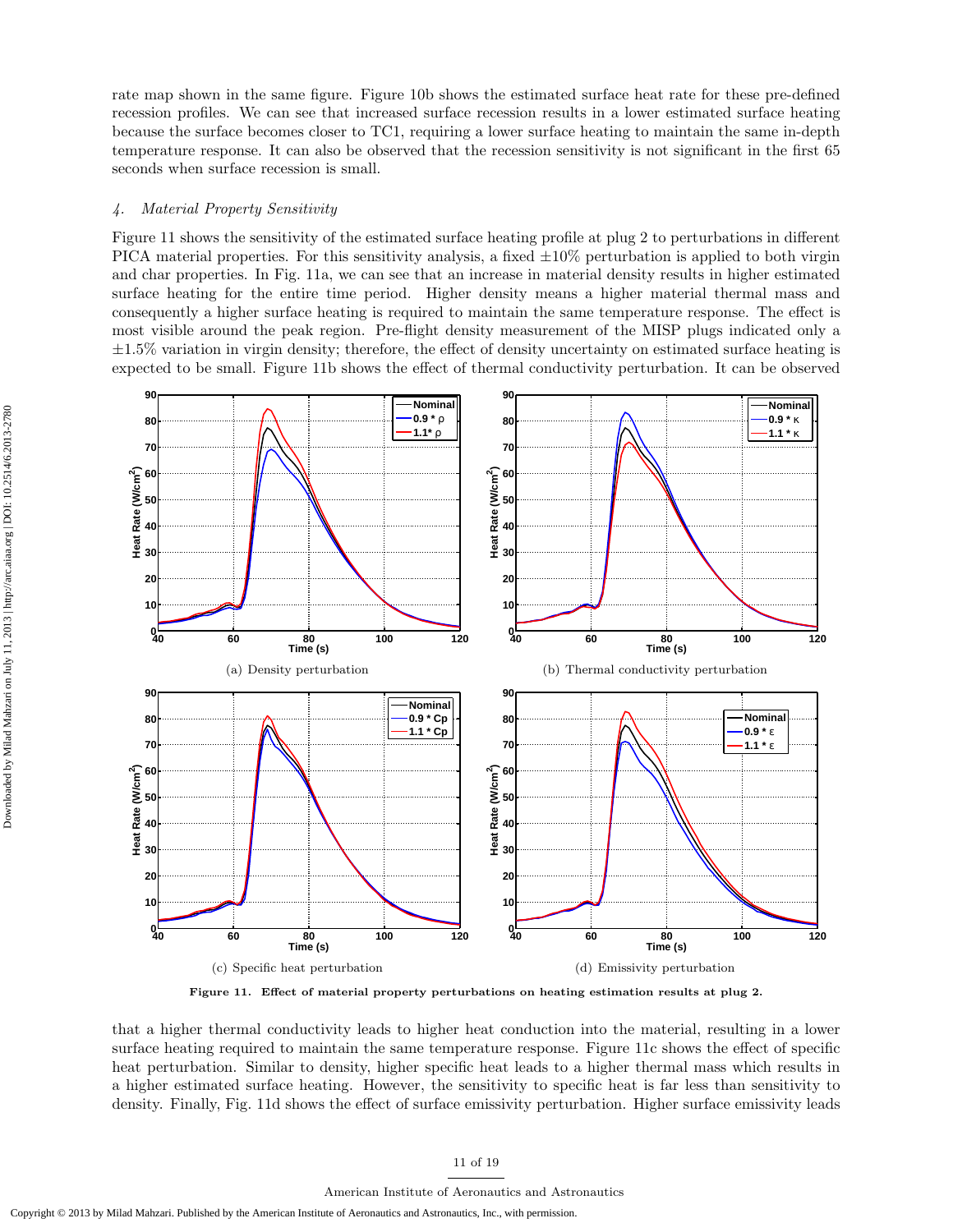rate map shown in the same figure. Figure 10b shows the estimated surface heat rate for these pre-defined recession profiles. We can see that increased surface recession results in a lower estimated surface heating because the surface becomes closer to TC1, requiring a lower surface heating to maintain the same in-depth temperature response. It can also be observed that the recession sensitivity is not significant in the first 65 seconds when surface recession is small.

## 4. Material Property Sensitivity

Figure 11 shows the sensitivity of the estimated surface heating profile at plug 2 to perturbations in different PICA material properties. For this sensitivity analysis, a fixed  $\pm 10\%$  perturbation is applied to both virgin and char properties. In Fig. 11a, we can see that an increase in material density results in higher estimated surface heating for the entire time period. Higher density means a higher material thermal mass and consequently a higher surface heating is required to maintain the same temperature response. The effect is most visible around the peak region. Pre-flight density measurement of the MISP plugs indicated only a  $\pm 1.5\%$  variation in virgin density; therefore, the effect of density uncertainty on estimated surface heating is expected to be small. Figure 11b shows the effect of thermal conductivity perturbation. It can be observed



Figure 11. Effect of material property perturbations on heating estimation results at plug 2.

that a higher thermal conductivity leads to higher heat conduction into the material, resulting in a lower surface heating required to maintain the same temperature response. Figure 11c shows the effect of specific heat perturbation. Similar to density, higher specific heat leads to a higher thermal mass which results in a higher estimated surface heating. However, the sensitivity to specific heat is far less than sensitivity to density. Finally, Fig. 11d shows the effect of surface emissivity perturbation. Higher surface emissivity leads

#### 11 of 19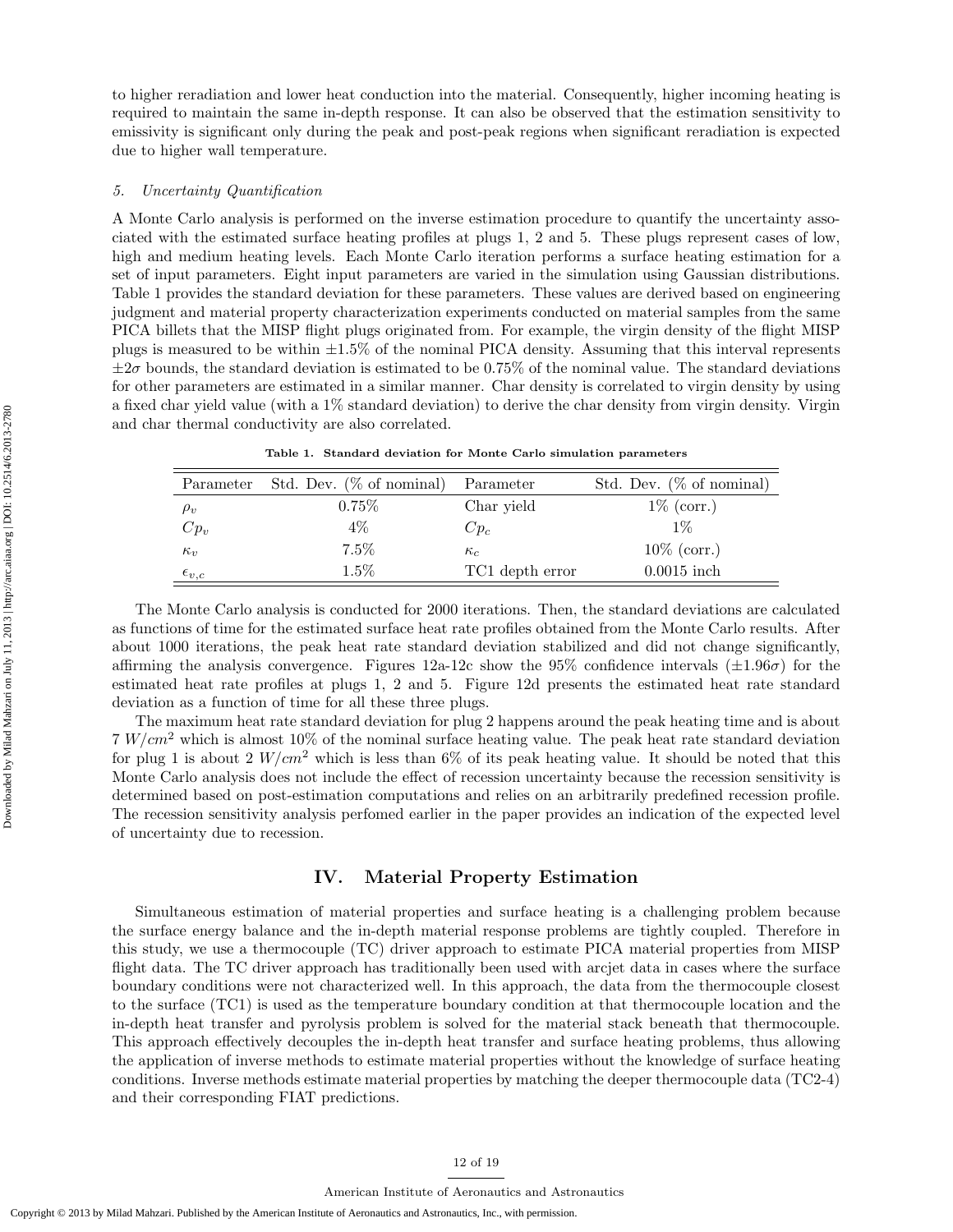to higher reradiation and lower heat conduction into the material. Consequently, higher incoming heating is required to maintain the same in-depth response. It can also be observed that the estimation sensitivity to emissivity is significant only during the peak and post-peak regions when significant reradiation is expected due to higher wall temperature.

#### 5. Uncertainty Quantification

A Monte Carlo analysis is performed on the inverse estimation procedure to quantify the uncertainty associated with the estimated surface heating profiles at plugs 1, 2 and 5. These plugs represent cases of low, high and medium heating levels. Each Monte Carlo iteration performs a surface heating estimation for a set of input parameters. Eight input parameters are varied in the simulation using Gaussian distributions. Table 1 provides the standard deviation for these parameters. These values are derived based on engineering judgment and material property characterization experiments conducted on material samples from the same PICA billets that the MISP flight plugs originated from. For example, the virgin density of the flight MISP plugs is measured to be within  $\pm 1.5\%$  of the nominal PICA density. Assuming that this interval represents  $\pm 2\sigma$  bounds, the standard deviation is estimated to be 0.75% of the nominal value. The standard deviations for other parameters are estimated in a similar manner. Char density is correlated to virgin density by using a fixed char yield value (with a 1% standard deviation) to derive the char density from virgin density. Virgin and char thermal conductivity are also correlated.

| Parameter        | Std. Dev. $(\% \text{ of nominal})$ | Parameter       | Std. Dev. $(\% \text{ of nominal})$ |
|------------------|-------------------------------------|-----------------|-------------------------------------|
| $\rho_v$         | 0.75%                               | Char yield      | $1\%$ (corr.)                       |
| $Cp_v$           | $4\%$                               | $Cp_c$          | $1\%$                               |
| $\kappa_v$       | $7.5\%$                             | $\kappa_c$      | $10\%$ (corr.)                      |
| $\epsilon_{v,c}$ | $1.5\%$                             | TC1 depth error | $0.0015$ inch                       |

Table 1. Standard deviation for Monte Carlo simulation parameters

The Monte Carlo analysis is conducted for 2000 iterations. Then, the standard deviations are calculated as functions of time for the estimated surface heat rate profiles obtained from the Monte Carlo results. After about 1000 iterations, the peak heat rate standard deviation stabilized and did not change significantly, affirming the analysis convergence. Figures 12a-12c show the 95% confidence intervals  $(\pm 1.96\sigma)$  for the estimated heat rate profiles at plugs 1, 2 and 5. Figure 12d presents the estimated heat rate standard deviation as a function of time for all these three plugs.

The maximum heat rate standard deviation for plug 2 happens around the peak heating time and is about  $7 W/cm<sup>2</sup>$  which is almost 10% of the nominal surface heating value. The peak heat rate standard deviation for plug 1 is about 2  $W/cm^2$  which is less than 6% of its peak heating value. It should be noted that this Monte Carlo analysis does not include the effect of recession uncertainty because the recession sensitivity is determined based on post-estimation computations and relies on an arbitrarily predefined recession profile. The recession sensitivity analysis perfomed earlier in the paper provides an indication of the expected level of uncertainty due to recession.

# IV. Material Property Estimation

Simultaneous estimation of material properties and surface heating is a challenging problem because the surface energy balance and the in-depth material response problems are tightly coupled. Therefore in this study, we use a thermocouple (TC) driver approach to estimate PICA material properties from MISP flight data. The TC driver approach has traditionally been used with arcjet data in cases where the surface boundary conditions were not characterized well. In this approach, the data from the thermocouple closest to the surface (TC1) is used as the temperature boundary condition at that thermocouple location and the in-depth heat transfer and pyrolysis problem is solved for the material stack beneath that thermocouple. This approach effectively decouples the in-depth heat transfer and surface heating problems, thus allowing the application of inverse methods to estimate material properties without the knowledge of surface heating conditions. Inverse methods estimate material properties by matching the deeper thermocouple data (TC2-4) and their corresponding FIAT predictions.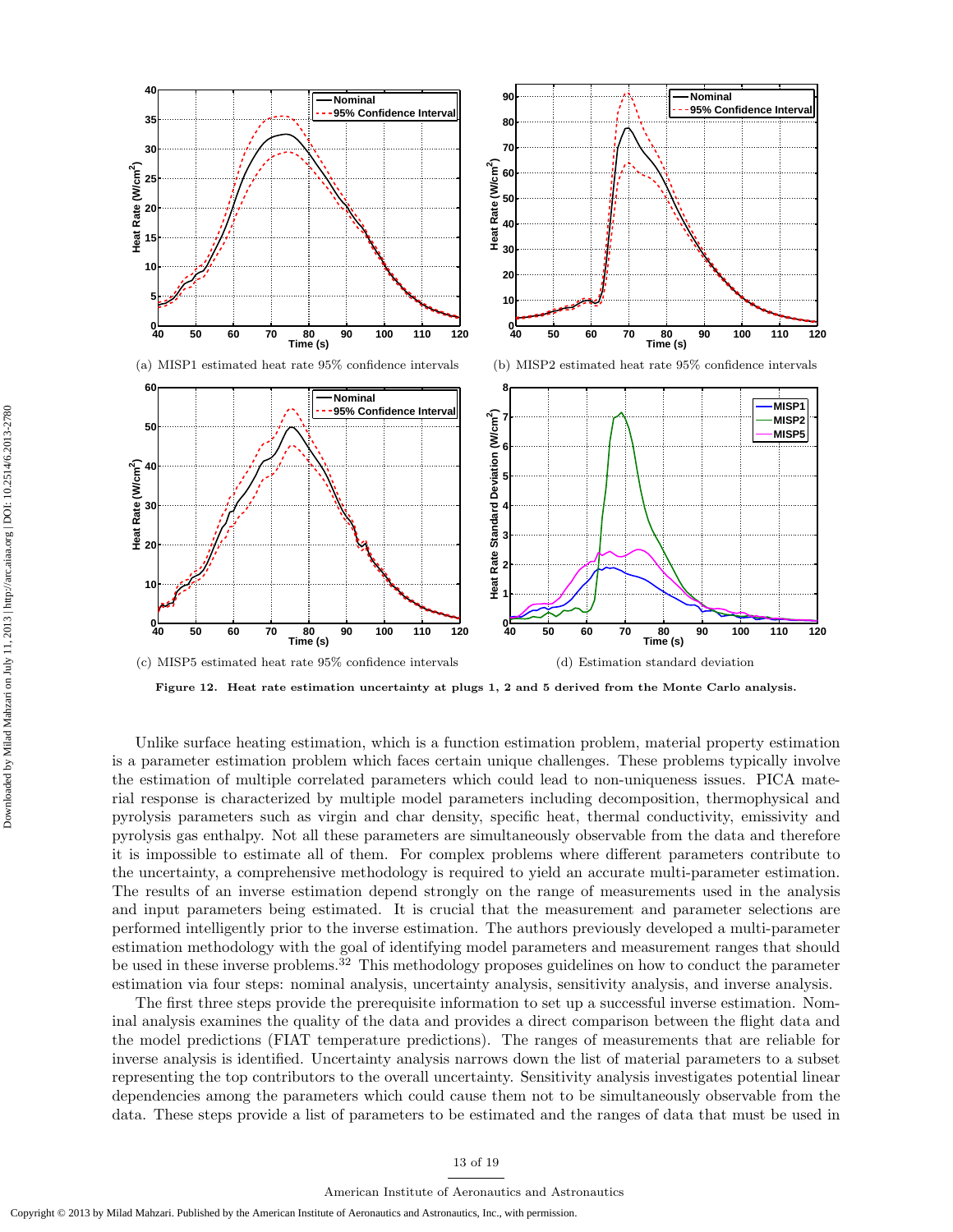

Figure 12. Heat rate estimation uncertainty at plugs 1, 2 and 5 derived from the Monte Carlo analysis.

Unlike surface heating estimation, which is a function estimation problem, material property estimation is a parameter estimation problem which faces certain unique challenges. These problems typically involve the estimation of multiple correlated parameters which could lead to non-uniqueness issues. PICA material response is characterized by multiple model parameters including decomposition, thermophysical and pyrolysis parameters such as virgin and char density, specific heat, thermal conductivity, emissivity and pyrolysis gas enthalpy. Not all these parameters are simultaneously observable from the data and therefore it is impossible to estimate all of them. For complex problems where different parameters contribute to the uncertainty, a comprehensive methodology is required to yield an accurate multi-parameter estimation. The results of an inverse estimation depend strongly on the range of measurements used in the analysis and input parameters being estimated. It is crucial that the measurement and parameter selections are performed intelligently prior to the inverse estimation. The authors previously developed a multi-parameter estimation methodology with the goal of identifying model parameters and measurement ranges that should be used in these inverse problems.<sup>32</sup> This methodology proposes guidelines on how to conduct the parameter estimation via four steps: nominal analysis, uncertainty analysis, sensitivity analysis, and inverse analysis.

The first three steps provide the prerequisite information to set up a successful inverse estimation. Nominal analysis examines the quality of the data and provides a direct comparison between the flight data and the model predictions (FIAT temperature predictions). The ranges of measurements that are reliable for inverse analysis is identified. Uncertainty analysis narrows down the list of material parameters to a subset representing the top contributors to the overall uncertainty. Sensitivity analysis investigates potential linear dependencies among the parameters which could cause them not to be simultaneously observable from the data. These steps provide a list of parameters to be estimated and the ranges of data that must be used in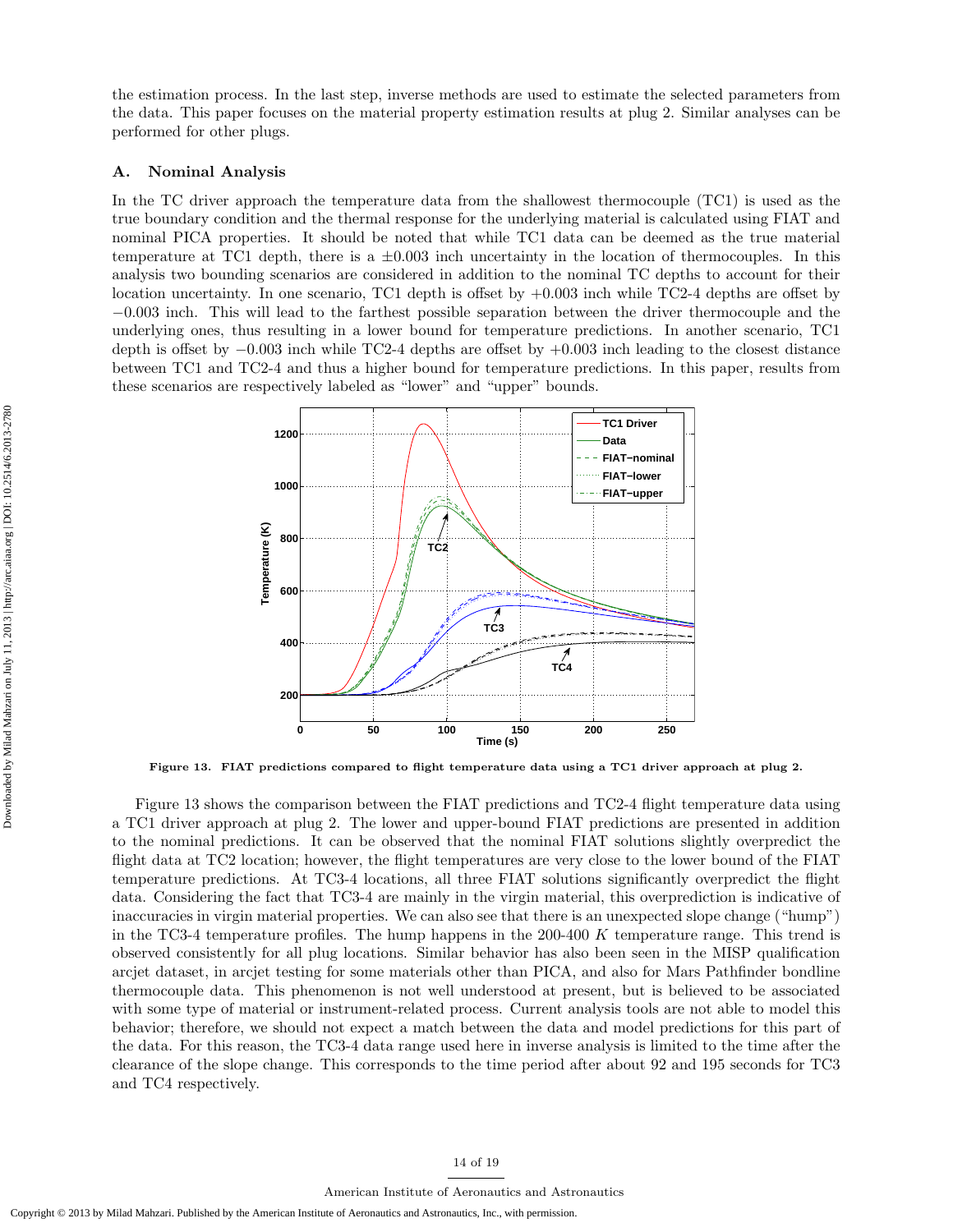the estimation process. In the last step, inverse methods are used to estimate the selected parameters from the data. This paper focuses on the material property estimation results at plug 2. Similar analyses can be performed for other plugs.

## A. Nominal Analysis

In the TC driver approach the temperature data from the shallowest thermocouple (TC1) is used as the true boundary condition and the thermal response for the underlying material is calculated using FIAT and nominal PICA properties. It should be noted that while TC1 data can be deemed as the true material temperature at TC1 depth, there is a  $\pm 0.003$  inch uncertainty in the location of thermocouples. In this analysis two bounding scenarios are considered in addition to the nominal TC depths to account for their location uncertainty. In one scenario, TC1 depth is offset by  $+0.003$  inch while TC2-4 depths are offset by −0.003 inch. This will lead to the farthest possible separation between the driver thermocouple and the underlying ones, thus resulting in a lower bound for temperature predictions. In another scenario, TC1 depth is offset by −0.003 inch while TC2-4 depths are offset by +0.003 inch leading to the closest distance between TC1 and TC2-4 and thus a higher bound for temperature predictions. In this paper, results from these scenarios are respectively labeled as "lower" and "upper" bounds.



Figure 13. FIAT predictions compared to flight temperature data using a TC1 driver approach at plug 2.

Figure 13 shows the comparison between the FIAT predictions and TC2-4 flight temperature data using a TC1 driver approach at plug 2. The lower and upper-bound FIAT predictions are presented in addition to the nominal predictions. It can be observed that the nominal FIAT solutions slightly overpredict the flight data at TC2 location; however, the flight temperatures are very close to the lower bound of the FIAT temperature predictions. At TC3-4 locations, all three FIAT solutions significantly overpredict the flight data. Considering the fact that TC3-4 are mainly in the virgin material, this overprediction is indicative of inaccuracies in virgin material properties. We can also see that there is an unexpected slope change ("hump") in the TC3-4 temperature profiles. The hump happens in the 200-400 K temperature range. This trend is observed consistently for all plug locations. Similar behavior has also been seen in the MISP qualification arcjet dataset, in arcjet testing for some materials other than PICA, and also for Mars Pathfinder bondline thermocouple data. This phenomenon is not well understood at present, but is believed to be associated with some type of material or instrument-related process. Current analysis tools are not able to model this behavior; therefore, we should not expect a match between the data and model predictions for this part of the data. For this reason, the TC3-4 data range used here in inverse analysis is limited to the time after the clearance of the slope change. This corresponds to the time period after about 92 and 195 seconds for TC3 and TC4 respectively.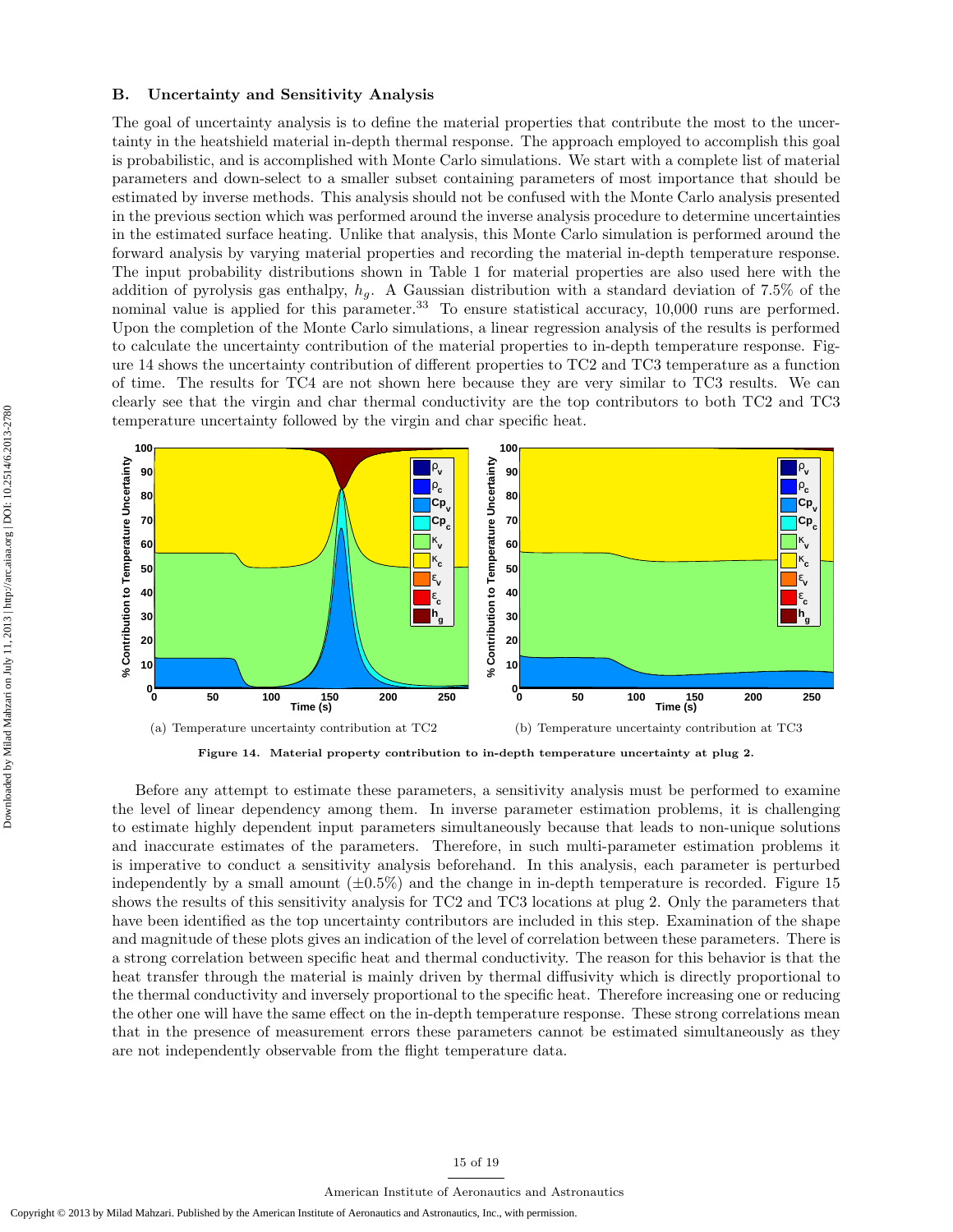#### B. Uncertainty and Sensitivity Analysis

The goal of uncertainty analysis is to define the material properties that contribute the most to the uncertainty in the heatshield material in-depth thermal response. The approach employed to accomplish this goal is probabilistic, and is accomplished with Monte Carlo simulations. We start with a complete list of material parameters and down-select to a smaller subset containing parameters of most importance that should be estimated by inverse methods. This analysis should not be confused with the Monte Carlo analysis presented in the previous section which was performed around the inverse analysis procedure to determine uncertainties in the estimated surface heating. Unlike that analysis, this Monte Carlo simulation is performed around the forward analysis by varying material properties and recording the material in-depth temperature response. The input probability distributions shown in Table 1 for material properties are also used here with the addition of pyrolysis gas enthalpy,  $h_q$ . A Gaussian distribution with a standard deviation of 7.5% of the nominal value is applied for this parameter.<sup>33</sup> To ensure statistical accuracy, 10,000 runs are performed. Upon the completion of the Monte Carlo simulations, a linear regression analysis of the results is performed to calculate the uncertainty contribution of the material properties to in-depth temperature response. Figure 14 shows the uncertainty contribution of different properties to TC2 and TC3 temperature as a function of time. The results for TC4 are not shown here because they are very similar to TC3 results. We can clearly see that the virgin and char thermal conductivity are the top contributors to both TC2 and TC3 temperature uncertainty followed by the virgin and char specific heat.



Figure 14. Material property contribution to in-depth temperature uncertainty at plug 2.

Before any attempt to estimate these parameters, a sensitivity analysis must be performed to examine the level of linear dependency among them. In inverse parameter estimation problems, it is challenging to estimate highly dependent input parameters simultaneously because that leads to non-unique solutions and inaccurate estimates of the parameters. Therefore, in such multi-parameter estimation problems it is imperative to conduct a sensitivity analysis beforehand. In this analysis, each parameter is perturbed independently by a small amount  $(\pm 0.5\%)$  and the change in in-depth temperature is recorded. Figure 15 shows the results of this sensitivity analysis for TC2 and TC3 locations at plug 2. Only the parameters that have been identified as the top uncertainty contributors are included in this step. Examination of the shape and magnitude of these plots gives an indication of the level of correlation between these parameters. There is a strong correlation between specific heat and thermal conductivity. The reason for this behavior is that the heat transfer through the material is mainly driven by thermal diffusivity which is directly proportional to the thermal conductivity and inversely proportional to the specific heat. Therefore increasing one or reducing the other one will have the same effect on the in-depth temperature response. These strong correlations mean that in the presence of measurement errors these parameters cannot be estimated simultaneously as they are not independently observable from the flight temperature data.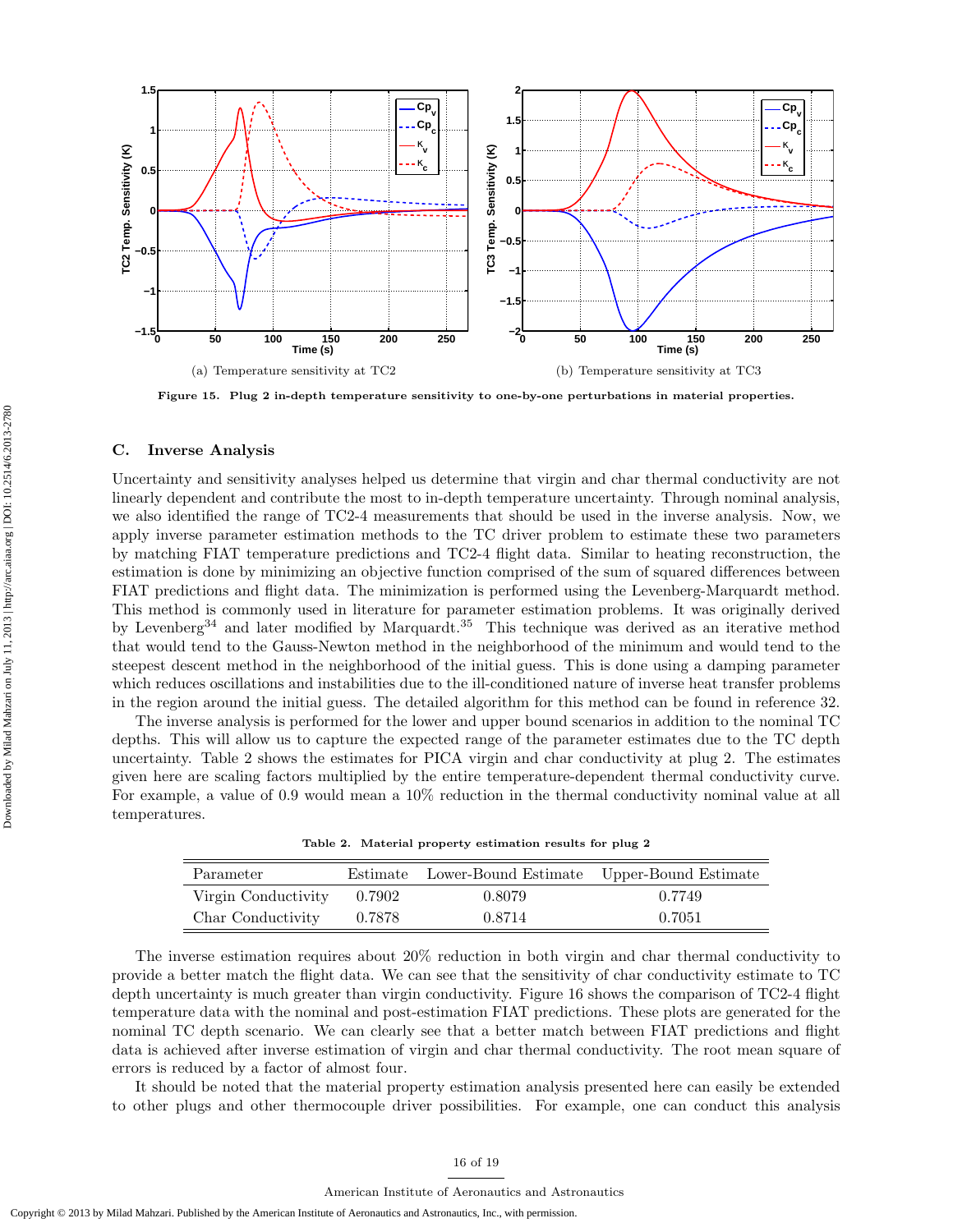

Figure 15. Plug 2 in-depth temperature sensitivity to one-by-one perturbations in material properties.

#### C. Inverse Analysis

Uncertainty and sensitivity analyses helped us determine that virgin and char thermal conductivity are not linearly dependent and contribute the most to in-depth temperature uncertainty. Through nominal analysis, we also identified the range of TC2-4 measurements that should be used in the inverse analysis. Now, we apply inverse parameter estimation methods to the TC driver problem to estimate these two parameters by matching FIAT temperature predictions and TC2-4 flight data. Similar to heating reconstruction, the estimation is done by minimizing an objective function comprised of the sum of squared differences between FIAT predictions and flight data. The minimization is performed using the Levenberg-Marquardt method. This method is commonly used in literature for parameter estimation problems. It was originally derived by Levenberg<sup>34</sup> and later modified by Marquardt.<sup>35</sup> This technique was derived as an iterative method that would tend to the Gauss-Newton method in the neighborhood of the minimum and would tend to the steepest descent method in the neighborhood of the initial guess. This is done using a damping parameter which reduces oscillations and instabilities due to the ill-conditioned nature of inverse heat transfer problems in the region around the initial guess. The detailed algorithm for this method can be found in reference 32.

The inverse analysis is performed for the lower and upper bound scenarios in addition to the nominal TC depths. This will allow us to capture the expected range of the parameter estimates due to the TC depth uncertainty. Table 2 shows the estimates for PICA virgin and char conductivity at plug 2. The estimates given here are scaling factors multiplied by the entire temperature-dependent thermal conductivity curve. For example, a value of 0.9 would mean a 10% reduction in the thermal conductivity nominal value at all temperatures.

|  |  |  | Table 2. Material property estimation results for plug 2 |  |  |  |  |
|--|--|--|----------------------------------------------------------|--|--|--|--|
|--|--|--|----------------------------------------------------------|--|--|--|--|

| Parameter           |        | Estimate Lower-Bound Estimate Upper-Bound Estimate |        |
|---------------------|--------|----------------------------------------------------|--------|
| Virgin Conductivity | 0.7902 | 0.8079                                             | 0.7749 |
| Char Conductivity   | 0.7878 | 0.8714                                             | 0.7051 |

The inverse estimation requires about 20% reduction in both virgin and char thermal conductivity to provide a better match the flight data. We can see that the sensitivity of char conductivity estimate to TC depth uncertainty is much greater than virgin conductivity. Figure 16 shows the comparison of TC2-4 flight temperature data with the nominal and post-estimation FIAT predictions. These plots are generated for the nominal TC depth scenario. We can clearly see that a better match between FIAT predictions and flight data is achieved after inverse estimation of virgin and char thermal conductivity. The root mean square of errors is reduced by a factor of almost four.

It should be noted that the material property estimation analysis presented here can easily be extended to other plugs and other thermocouple driver possibilities. For example, one can conduct this analysis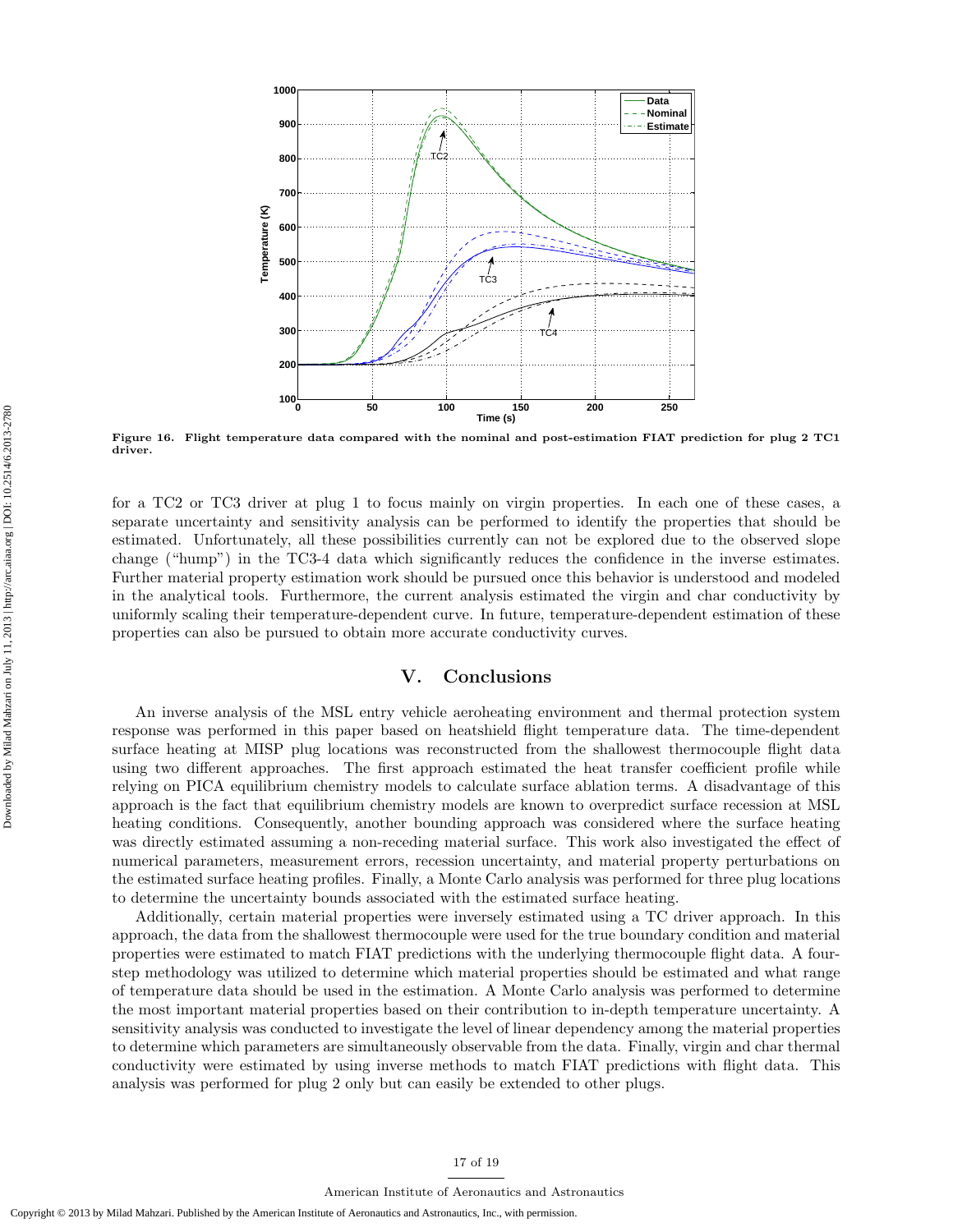

Figure 16. Flight temperature data compared with the nominal and post-estimation FIAT prediction for plug 2 TC1 driver

for a TC2 or TC3 driver at plug 1 to focus mainly on virgin properties. In each one of these cases, a separate uncertainty and sensitivity analysis can be performed to identify the properties that should be estimated. Unfortunately, all these possibilities currently can not be explored due to the observed slope change ("hump") in the TC3-4 data which significantly reduces the confidence in the inverse estimates. Further material property estimation work should be pursued once this behavior is understood and modeled in the analytical tools. Furthermore, the current analysis estimated the virgin and char conductivity by uniformly scaling their temperature-dependent curve. In future, temperature-dependent estimation of these properties can also be pursued to obtain more accurate conductivity curves.

# V. Conclusions

An inverse analysis of the MSL entry vehicle aeroheating environment and thermal protection system response was performed in this paper based on heatshield flight temperature data. The time-dependent surface heating at MISP plug locations was reconstructed from the shallowest thermocouple flight data using two different approaches. The first approach estimated the heat transfer coefficient profile while relying on PICA equilibrium chemistry models to calculate surface ablation terms. A disadvantage of this approach is the fact that equilibrium chemistry models are known to overpredict surface recession at MSL heating conditions. Consequently, another bounding approach was considered where the surface heating was directly estimated assuming a non-receding material surface. This work also investigated the effect of numerical parameters, measurement errors, recession uncertainty, and material property perturbations on the estimated surface heating profiles. Finally, a Monte Carlo analysis was performed for three plug locations to determine the uncertainty bounds associated with the estimated surface heating.

Additionally, certain material properties were inversely estimated using a TC driver approach. In this approach, the data from the shallowest thermocouple were used for the true boundary condition and material properties were estimated to match FIAT predictions with the underlying thermocouple flight data. A fourstep methodology was utilized to determine which material properties should be estimated and what range of temperature data should be used in the estimation. A Monte Carlo analysis was performed to determine the most important material properties based on their contribution to in-depth temperature uncertainty. A sensitivity analysis was conducted to investigate the level of linear dependency among the material properties to determine which parameters are simultaneously observable from the data. Finally, virgin and char thermal conductivity were estimated by using inverse methods to match FIAT predictions with flight data. This analysis was performed for plug 2 only but can easily be extended to other plugs.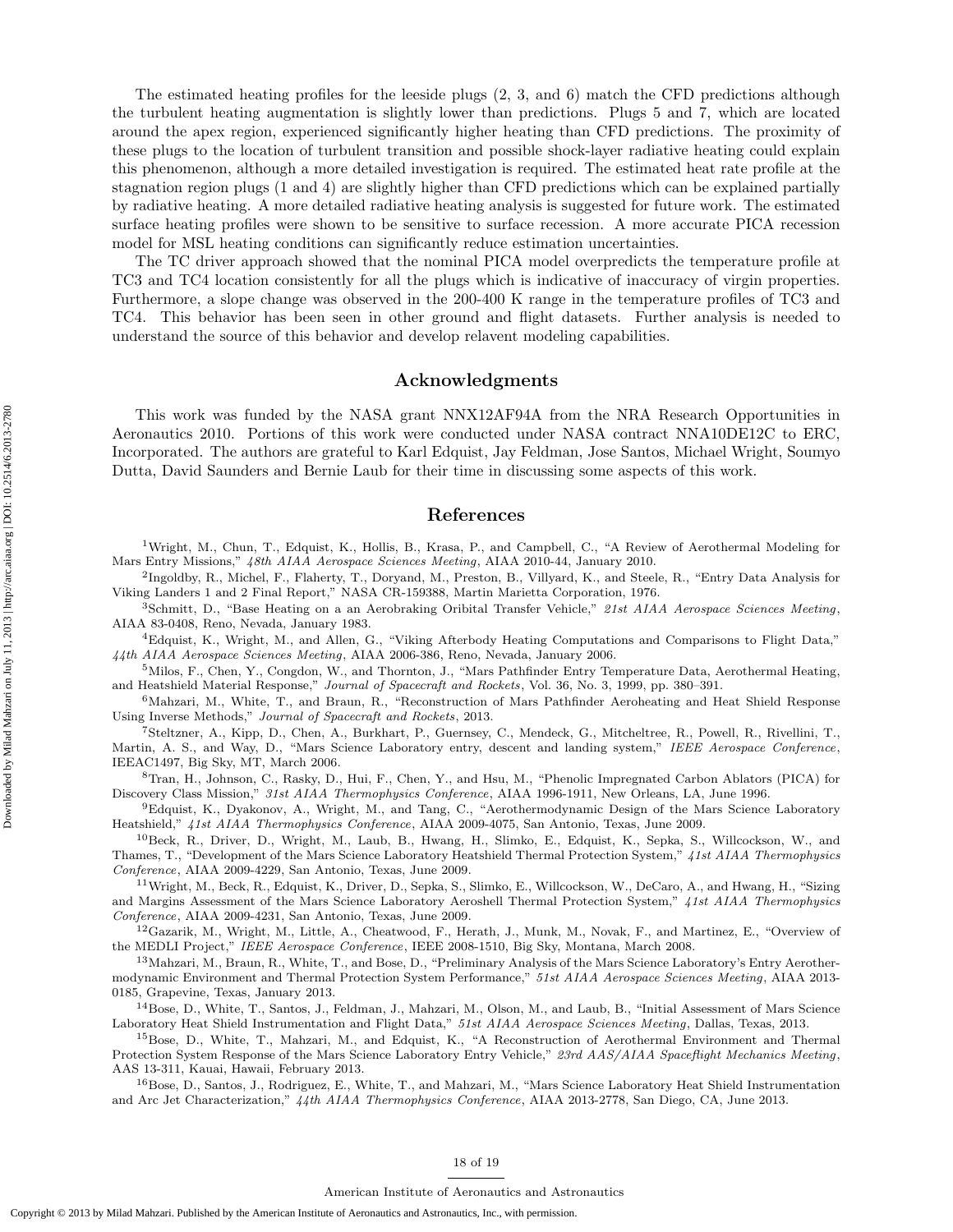The estimated heating profiles for the leeside plugs (2, 3, and 6) match the CFD predictions although the turbulent heating augmentation is slightly lower than predictions. Plugs 5 and 7, which are located around the apex region, experienced significantly higher heating than CFD predictions. The proximity of these plugs to the location of turbulent transition and possible shock-layer radiative heating could explain this phenomenon, although a more detailed investigation is required. The estimated heat rate profile at the stagnation region plugs (1 and 4) are slightly higher than CFD predictions which can be explained partially by radiative heating. A more detailed radiative heating analysis is suggested for future work. The estimated surface heating profiles were shown to be sensitive to surface recession. A more accurate PICA recession model for MSL heating conditions can significantly reduce estimation uncertainties.

The TC driver approach showed that the nominal PICA model overpredicts the temperature profile at TC3 and TC4 location consistently for all the plugs which is indicative of inaccuracy of virgin properties. Furthermore, a slope change was observed in the 200-400 K range in the temperature profiles of TC3 and TC4. This behavior has been seen in other ground and flight datasets. Further analysis is needed to understand the source of this behavior and develop relavent modeling capabilities.

# Acknowledgments

This work was funded by the NASA grant NNX12AF94A from the NRA Research Opportunities in Aeronautics 2010. Portions of this work were conducted under NASA contract NNA10DE12C to ERC, Incorporated. The authors are grateful to Karl Edquist, Jay Feldman, Jose Santos, Michael Wright, Soumyo Dutta, David Saunders and Bernie Laub for their time in discussing some aspects of this work.

## References

<sup>1</sup>Wright, M., Chun, T., Edquist, K., Hollis, B., Krasa, P., and Campbell, C., "A Review of Aerothermal Modeling for Mars Entry Missions," 48th AIAA Aerospace Sciences Meeting, AIAA 2010-44, January 2010.

2 Ingoldby, R., Michel, F., Flaherty, T., Doryand, M., Preston, B., Villyard, K., and Steele, R., "Entry Data Analysis for Viking Landers 1 and 2 Final Report," NASA CR-159388, Martin Marietta Corporation, 1976.

3Schmitt, D., "Base Heating on a an Aerobraking Oribital Transfer Vehicle," 21st AIAA Aerospace Sciences Meeting, AIAA 83-0408, Reno, Nevada, January 1983.

<sup>4</sup>Edquist, K., Wright, M., and Allen, G., "Viking Afterbody Heating Computations and Comparisons to Flight Data," 44th AIAA Aerospace Sciences Meeting, AIAA 2006-386, Reno, Nevada, January 2006.

<sup>5</sup>Milos, F., Chen, Y., Congdon, W., and Thornton, J., "Mars Pathfinder Entry Temperature Data, Aerothermal Heating, and Heatshield Material Response," Journal of Spacecraft and Rockets, Vol. 36, No. 3, 1999, pp. 380–391.

<sup>6</sup>Mahzari, M., White, T., and Braun, R., "Reconstruction of Mars Pathfinder Aeroheating and Heat Shield Response Using Inverse Methods," Journal of Spacecraft and Rockets, 2013.

<sup>7</sup>Steltzner, A., Kipp, D., Chen, A., Burkhart, P., Guernsey, C., Mendeck, G., Mitcheltree, R., Powell, R., Rivellini, T., Martin, A. S., and Way, D., "Mars Science Laboratory entry, descent and landing system," IEEE Aerospace Conference, IEEAC1497, Big Sky, MT, March 2006.

<sup>8</sup>Tran, H., Johnson, C., Rasky, D., Hui, F., Chen, Y., and Hsu, M., "Phenolic Impregnated Carbon Ablators (PICA) for Discovery Class Mission," 31st AIAA Thermophysics Conference, AIAA 1996-1911, New Orleans, LA, June 1996.

<sup>9</sup>Edquist, K., Dyakonov, A., Wright, M., and Tang, C., "Aerothermodynamic Design of the Mars Science Laboratory Heatshield," 41st AIAA Thermophysics Conference, AIAA 2009-4075, San Antonio, Texas, June 2009.

<sup>10</sup>Beck, R., Driver, D., Wright, M., Laub, B., Hwang, H., Slimko, E., Edquist, K., Sepka, S., Willcockson, W., and Thames, T., "Development of the Mars Science Laboratory Heatshield Thermal Protection System," 41st AIAA Thermophysics Conference, AIAA 2009-4229, San Antonio, Texas, June 2009.

<sup>11</sup>Wright, M., Beck, R., Edquist, K., Driver, D., Sepka, S., Slimko, E., Willcockson, W., DeCaro, A., and Hwang, H., "Sizing and Margins Assessment of the Mars Science Laboratory Aeroshell Thermal Protection System," 41st AIAA Thermophysics Conference, AIAA 2009-4231, San Antonio, Texas, June 2009.

<sup>12</sup>Gazarik, M., Wright, M., Little, A., Cheatwood, F., Herath, J., Munk, M., Novak, F., and Martinez, E., "Overview of the MEDLI Project," IEEE Aerospace Conference, IEEE 2008-1510, Big Sky, Montana, March 2008.

<sup>13</sup> Mahzari, M., Braun, R., White, T., and Bose, D., "Preliminary Analysis of the Mars Science Laboratory's Entry Aerothermodynamic Environment and Thermal Protection System Performance," 51st AIAA Aerospace Sciences Meeting, AIAA 2013- 0185, Grapevine, Texas, January 2013.

<sup>14</sup>Bose, D., White, T., Santos, J., Feldman, J., Mahzari, M., Olson, M., and Laub, B., "Initial Assessment of Mars Science Laboratory Heat Shield Instrumentation and Flight Data," 51st AIAA Aerospace Sciences Meeting, Dallas, Texas, 2013.

<sup>15</sup>Bose, D., White, T., Mahzari, M., and Edquist, K., "A Reconstruction of Aerothermal Environment and Thermal Protection System Response of the Mars Science Laboratory Entry Vehicle," 23rd AAS/AIAA Spaceflight Mechanics Meeting, AAS 13-311, Kauai, Hawaii, February 2013.

<sup>16</sup>Bose, D., Santos, J., Rodriguez, E., White, T., and Mahzari, M., "Mars Science Laboratory Heat Shield Instrumentation and Arc Jet Characterization," 44th AIAA Thermophysics Conference, AIAA 2013-2778, San Diego, CA, June 2013.